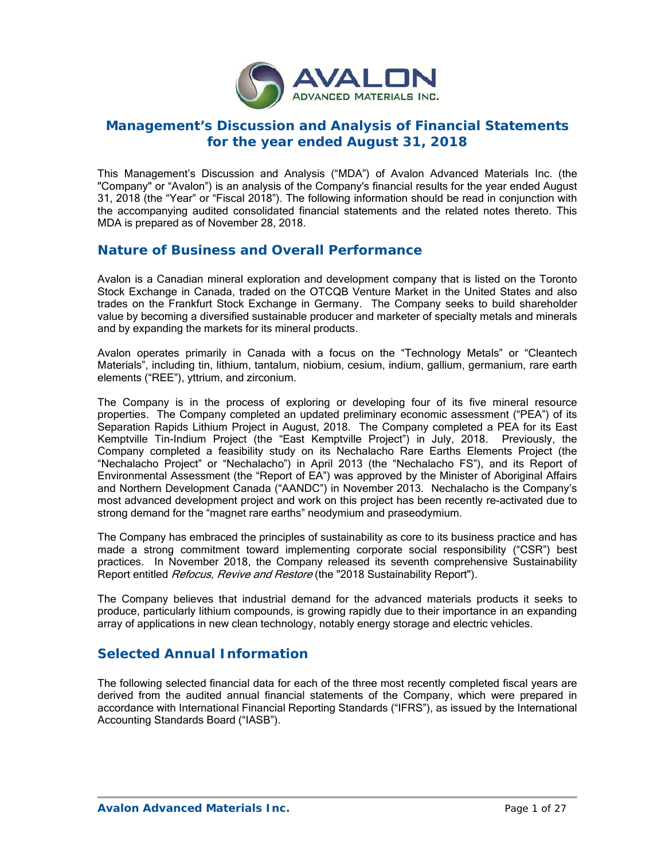

# **Management's Discussion and Analysis of Financial Statements for the year ended August 31, 2018**

This Management's Discussion and Analysis ("MDA") of Avalon Advanced Materials Inc. (the "Company" or "Avalon") is an analysis of the Company's financial results for the year ended August 31, 2018 (the "Year" or "Fiscal 2018"). The following information should be read in conjunction with the accompanying audited consolidated financial statements and the related notes thereto. This MDA is prepared as of November 28, 2018.

## **Nature of Business and Overall Performance**

Avalon is a Canadian mineral exploration and development company that is listed on the Toronto Stock Exchange in Canada, traded on the OTCQB Venture Market in the United States and also trades on the Frankfurt Stock Exchange in Germany. The Company seeks to build shareholder value by becoming a diversified sustainable producer and marketer of specialty metals and minerals and by expanding the markets for its mineral products.

Avalon operates primarily in Canada with a focus on the "Technology Metals" or "Cleantech Materials", including tin, lithium, tantalum, niobium, cesium, indium, gallium, germanium, rare earth elements ("REE"), yttrium, and zirconium.

The Company is in the process of exploring or developing four of its five mineral resource properties. The Company completed an updated preliminary economic assessment ("PEA") of its Separation Rapids Lithium Project in August, 2018. The Company completed a PEA for its East Kemptville Tin-Indium Project (the "East Kemptville Project") in July, 2018. Previously, the Company completed a feasibility study on its Nechalacho Rare Earths Elements Project (the "Nechalacho Project" or "Nechalacho") in April 2013 (the "Nechalacho FS"), and its Report of Environmental Assessment (the "Report of EA") was approved by the Minister of Aboriginal Affairs and Northern Development Canada ("AANDC") in November 2013. Nechalacho is the Company's most advanced development project and work on this project has been recently re-activated due to strong demand for the "magnet rare earths" neodymium and praseodymium.

The Company has embraced the principles of sustainability as core to its business practice and has made a strong commitment toward implementing corporate social responsibility ("CSR") best practices. In November 2018, the Company released its seventh comprehensive Sustainability Report entitled *Refocus, Revive and Restore* (the "2018 Sustainability Report").

The Company believes that industrial demand for the advanced materials products it seeks to produce, particularly lithium compounds, is growing rapidly due to their importance in an expanding array of applications in new clean technology, notably energy storage and electric vehicles.

# **Selected Annual Information**

The following selected financial data for each of the three most recently completed fiscal years are derived from the audited annual financial statements of the Company, which were prepared in accordance with International Financial Reporting Standards ("IFRS"), as issued by the International Accounting Standards Board ("IASB").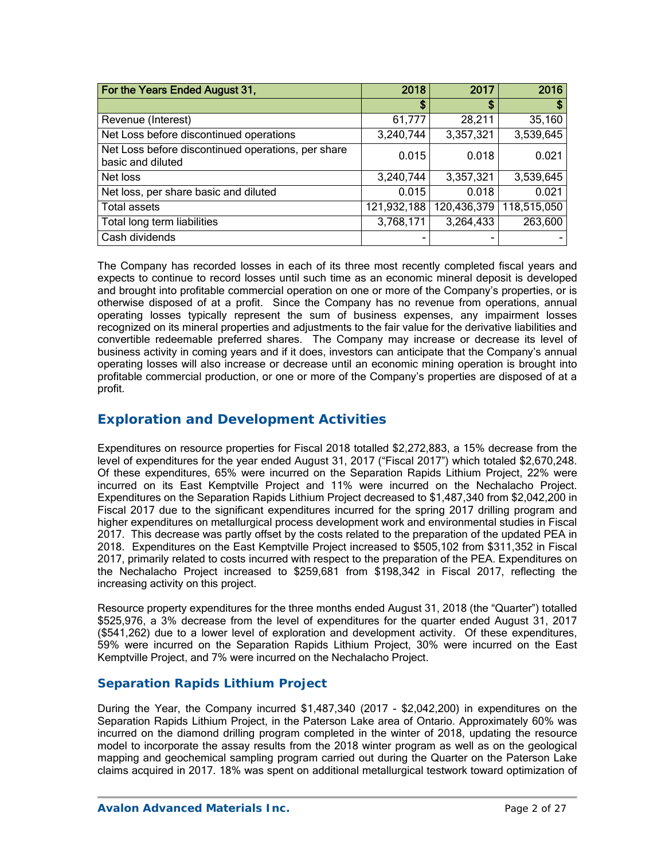| For the Years Ended August 31,                                          | 2018        | 2017        | 2016        |
|-------------------------------------------------------------------------|-------------|-------------|-------------|
|                                                                         | S           | \$          |             |
| Revenue (Interest)                                                      | 61,777      | 28,211      | 35,160      |
| Net Loss before discontinued operations                                 | 3,240,744   | 3,357,321   | 3,539,645   |
| Net Loss before discontinued operations, per share<br>basic and diluted | 0.015       | 0.018       | 0.021       |
| Net loss                                                                | 3,240,744   | 3,357,321   | 3,539,645   |
| Net loss, per share basic and diluted                                   | 0.015       | 0.018       | 0.021       |
| <b>Total assets</b>                                                     | 121,932,188 | 120,436,379 | 118,515,050 |
| Total long term liabilities                                             | 3,768,171   | 3,264,433   | 263,600     |
| Cash dividends                                                          |             |             |             |

The Company has recorded losses in each of its three most recently completed fiscal years and expects to continue to record losses until such time as an economic mineral deposit is developed and brought into profitable commercial operation on one or more of the Company's properties, or is otherwise disposed of at a profit. Since the Company has no revenue from operations, annual operating losses typically represent the sum of business expenses, any impairment losses recognized on its mineral properties and adjustments to the fair value for the derivative liabilities and convertible redeemable preferred shares. The Company may increase or decrease its level of business activity in coming years and if it does, investors can anticipate that the Company's annual operating losses will also increase or decrease until an economic mining operation is brought into profitable commercial production, or one or more of the Company's properties are disposed of at a profit.

## **Exploration and Development Activities**

Expenditures on resource properties for Fiscal 2018 totalled \$2,272,883, a 15% decrease from the level of expenditures for the year ended August 31, 2017 ("Fiscal 2017") which totaled \$2,670,248. Of these expenditures, 65% were incurred on the Separation Rapids Lithium Project, 22% were incurred on its East Kemptville Project and 11% were incurred on the Nechalacho Project. Expenditures on the Separation Rapids Lithium Project decreased to \$1,487,340 from \$2,042,200 in Fiscal 2017 due to the significant expenditures incurred for the spring 2017 drilling program and higher expenditures on metallurgical process development work and environmental studies in Fiscal 2017. This decrease was partly offset by the costs related to the preparation of the updated PEA in 2018. Expenditures on the East Kemptville Project increased to \$505,102 from \$311,352 in Fiscal 2017, primarily related to costs incurred with respect to the preparation of the PEA. Expenditures on the Nechalacho Project increased to \$259,681 from \$198,342 in Fiscal 2017, reflecting the increasing activity on this project.

Resource property expenditures for the three months ended August 31, 2018 (the "Quarter") totalled \$525,976, a 3% decrease from the level of expenditures for the quarter ended August 31, 2017 (\$541,262) due to a lower level of exploration and development activity. Of these expenditures, 59% were incurred on the Separation Rapids Lithium Project, 30% were incurred on the East Kemptville Project, and 7% were incurred on the Nechalacho Project.

## *Separation Rapids Lithium Project*

During the Year, the Company incurred \$1,487,340 (2017 - \$2,042,200) in expenditures on the Separation Rapids Lithium Project, in the Paterson Lake area of Ontario. Approximately 60% was incurred on the diamond drilling program completed in the winter of 2018, updating the resource model to incorporate the assay results from the 2018 winter program as well as on the geological mapping and geochemical sampling program carried out during the Quarter on the Paterson Lake claims acquired in 2017. 18% was spent on additional metallurgical testwork toward optimization of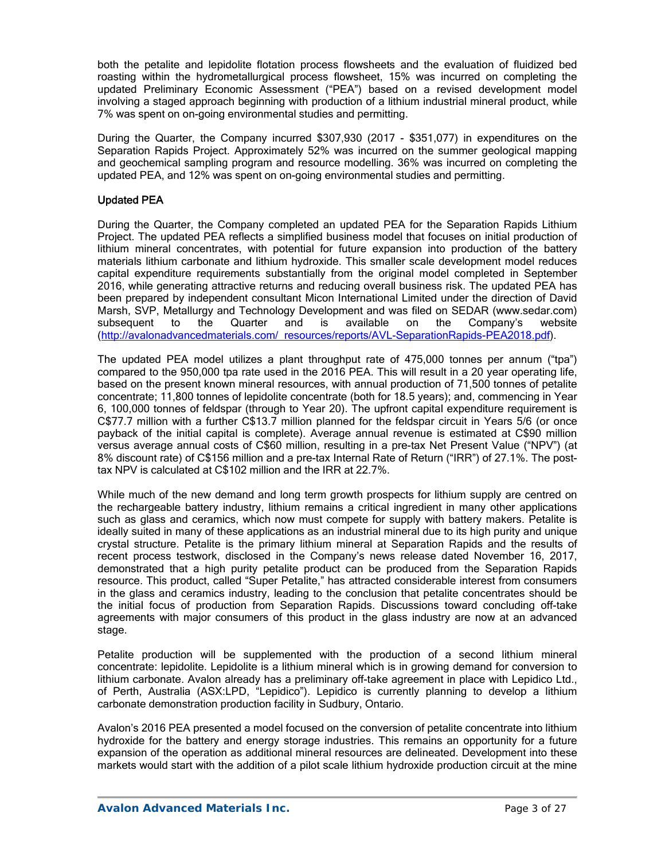both the petalite and lepidolite flotation process flowsheets and the evaluation of fluidized bed roasting within the hydrometallurgical process flowsheet, 15% was incurred on completing the updated Preliminary Economic Assessment ("PEA") based on a revised development model involving a staged approach beginning with production of a lithium industrial mineral product, while 7% was spent on on-going environmental studies and permitting.

During the Quarter, the Company incurred \$307,930 (2017 - \$351,077) in expenditures on the Separation Rapids Project. Approximately 52% was incurred on the summer geological mapping and geochemical sampling program and resource modelling. 36% was incurred on completing the updated PEA, and 12% was spent on on-going environmental studies and permitting.

### Updated PEA

During the Quarter, the Company completed an updated PEA for the Separation Rapids Lithium Project. The updated PEA reflects a simplified business model that focuses on initial production of lithium mineral concentrates, with potential for future expansion into production of the battery materials lithium carbonate and lithium hydroxide. This smaller scale development model reduces capital expenditure requirements substantially from the original model completed in September 2016, while generating attractive returns and reducing overall business risk. The updated PEA has been prepared by independent consultant Micon International Limited under the direction of David Marsh, SVP, Metallurgy and Technology Development and was filed on SEDAR (www.sedar.com) subsequent to the Quarter and is available on the Company's website (http://avalonadvancedmaterials.com/\_resources/reports/AVL-SeparationRapids-PEA2018.pdf).

The updated PEA model utilizes a plant throughput rate of 475,000 tonnes per annum ("tpa") compared to the 950,000 tpa rate used in the 2016 PEA. This will result in a 20 year operating life, based on the present known mineral resources, with annual production of 71,500 tonnes of petalite concentrate; 11,800 tonnes of lepidolite concentrate (both for 18.5 years); and, commencing in Year 6, 100,000 tonnes of feldspar (through to Year 20). The upfront capital expenditure requirement is C\$77.7 million with a further C\$13.7 million planned for the feldspar circuit in Years 5/6 (or once payback of the initial capital is complete). Average annual revenue is estimated at C\$90 million versus average annual costs of C\$60 million, resulting in a pre-tax Net Present Value ("NPV") (at 8% discount rate) of C\$156 million and a pre-tax Internal Rate of Return ("IRR") of 27.1%. The posttax NPV is calculated at C\$102 million and the IRR at 22.7%.

While much of the new demand and long term growth prospects for lithium supply are centred on the rechargeable battery industry, lithium remains a critical ingredient in many other applications such as glass and ceramics, which now must compete for supply with battery makers. Petalite is ideally suited in many of these applications as an industrial mineral due to its high purity and unique crystal structure. Petalite is the primary lithium mineral at Separation Rapids and the results of recent process testwork, disclosed in the Company's news release dated November 16, 2017, demonstrated that a high purity petalite product can be produced from the Separation Rapids resource. This product, called "Super Petalite," has attracted considerable interest from consumers in the glass and ceramics industry, leading to the conclusion that petalite concentrates should be the initial focus of production from Separation Rapids. Discussions toward concluding off-take agreements with major consumers of this product in the glass industry are now at an advanced stage.

Petalite production will be supplemented with the production of a second lithium mineral concentrate: lepidolite. Lepidolite is a lithium mineral which is in growing demand for conversion to lithium carbonate. Avalon already has a preliminary off-take agreement in place with Lepidico Ltd., of Perth, Australia (ASX:LPD, "Lepidico"). Lepidico is currently planning to develop a lithium carbonate demonstration production facility in Sudbury, Ontario.

Avalon's 2016 PEA presented a model focused on the conversion of petalite concentrate into lithium hydroxide for the battery and energy storage industries. This remains an opportunity for a future expansion of the operation as additional mineral resources are delineated. Development into these markets would start with the addition of a pilot scale lithium hydroxide production circuit at the mine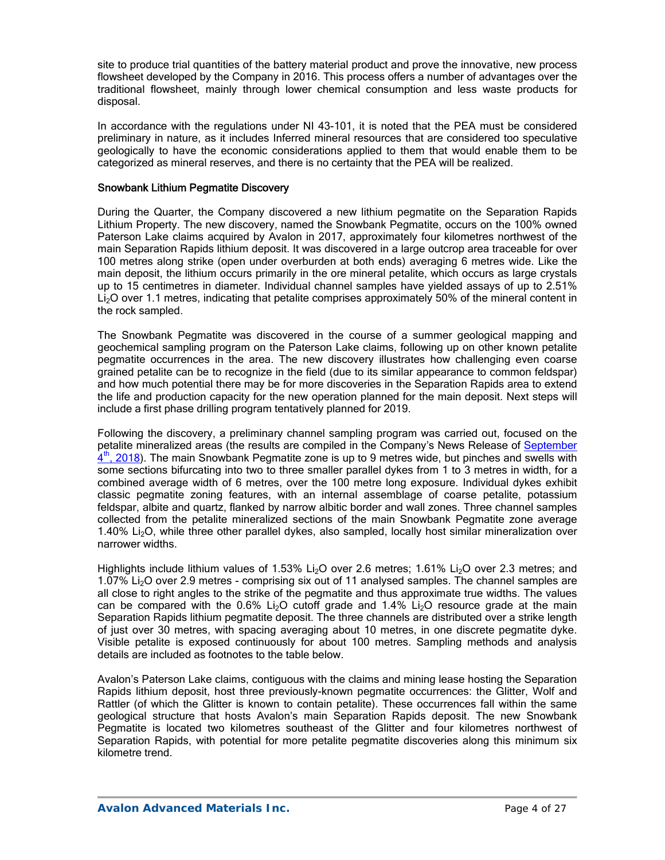site to produce trial quantities of the battery material product and prove the innovative, new process flowsheet developed by the Company in 2016. This process offers a number of advantages over the traditional flowsheet, mainly through lower chemical consumption and less waste products for disposal.

In accordance with the regulations under NI 43-101, it is noted that the PEA must be considered preliminary in nature, as it includes Inferred mineral resources that are considered too speculative geologically to have the economic considerations applied to them that would enable them to be categorized as mineral reserves, and there is no certainty that the PEA will be realized.

### Snowbank Lithium Pegmatite Discovery

During the Quarter, the Company discovered a new lithium pegmatite on the Separation Rapids Lithium Property. The new discovery, named the Snowbank Pegmatite, occurs on the 100% owned Paterson Lake claims acquired by Avalon in 2017, approximately four kilometres northwest of the main Separation Rapids lithium deposit. It was discovered in a large outcrop area traceable for over 100 metres along strike (open under overburden at both ends) averaging 6 metres wide. Like the main deposit, the lithium occurs primarily in the ore mineral petalite, which occurs as large crystals up to 15 centimetres in diameter. Individual channel samples have yielded assays of up to 2.51% Li<sub>2</sub>O over 1.1 metres, indicating that petalite comprises approximately 50% of the mineral content in the rock sampled.

The Snowbank Pegmatite was discovered in the course of a summer geological mapping and geochemical sampling program on the Paterson Lake claims, following up on other known petalite pegmatite occurrences in the area. The new discovery illustrates how challenging even coarse grained petalite can be to recognize in the field (due to its similar appearance to common feldspar) and how much potential there may be for more discoveries in the Separation Rapids area to extend the life and production capacity for the new operation planned for the main deposit. Next steps will include a first phase drilling program tentatively planned for 2019.

Following the discovery, a preliminary channel sampling program was carried out, focused on the petalite mineralized areas (the results are compiled in the Company's News Release of September  $4<sup>th</sup>$ , 2018). The main Snowbank Pegmatite zone is up to 9 metres wide, but pinches and swells with some sections bifurcating into two to three smaller parallel dykes from 1 to 3 metres in width, for a combined average width of 6 metres, over the 100 metre long exposure. Individual dykes exhibit classic pegmatite zoning features, with an internal assemblage of coarse petalite, potassium feldspar, albite and quartz, flanked by narrow albitic border and wall zones. Three channel samples collected from the petalite mineralized sections of the main Snowbank Pegmatite zone average 1.40% Li<sub>2</sub>O, while three other parallel dykes, also sampled, locally host similar mineralization over narrower widths.

Highlights include lithium values of 1.53% Li<sub>2</sub>O over 2.6 metres; 1.61% Li<sub>2</sub>O over 2.3 metres; and 1.07% Li<sub>2</sub>O over 2.9 metres - comprising six out of 11 analysed samples. The channel samples are all close to right angles to the strike of the pegmatite and thus approximate true widths. The values can be compared with the  $0.6\%$  Li<sub>2</sub>O cutoff grade and  $1.4\%$  Li<sub>2</sub>O resource grade at the main Separation Rapids lithium pegmatite deposit. The three channels are distributed over a strike length of just over 30 metres, with spacing averaging about 10 metres, in one discrete pegmatite dyke. Visible petalite is exposed continuously for about 100 metres. Sampling methods and analysis details are included as footnotes to the table below.

Avalon's Paterson Lake claims, contiguous with the claims and mining lease hosting the Separation Rapids lithium deposit, host three previously-known pegmatite occurrences: the Glitter, Wolf and Rattler (of which the Glitter is known to contain petalite). These occurrences fall within the same geological structure that hosts Avalon's main Separation Rapids deposit. The new Snowbank Pegmatite is located two kilometres southeast of the Glitter and four kilometres northwest of Separation Rapids, with potential for more petalite pegmatite discoveries along this minimum six kilometre trend.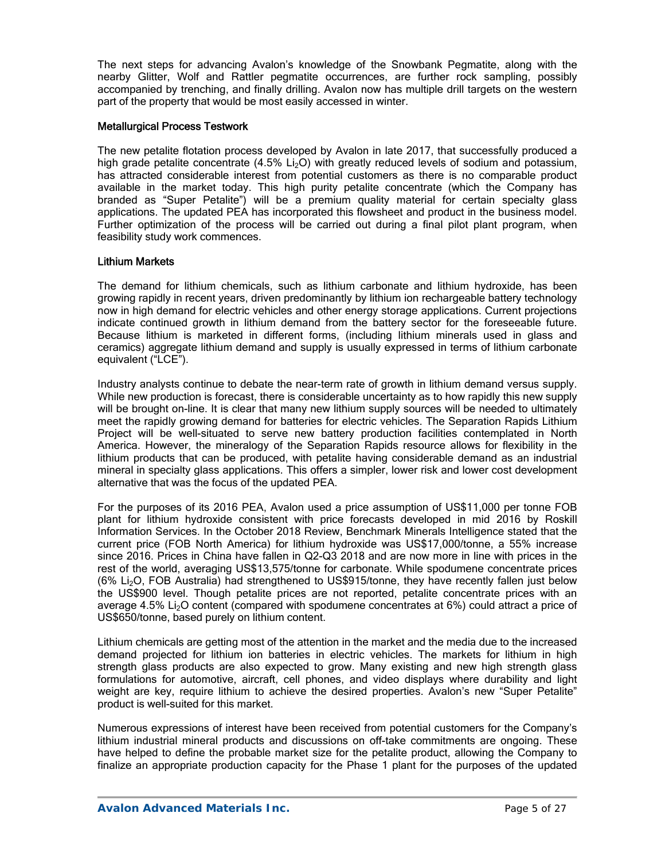The next steps for advancing Avalon's knowledge of the Snowbank Pegmatite, along with the nearby Glitter, Wolf and Rattler pegmatite occurrences, are further rock sampling, possibly accompanied by trenching, and finally drilling. Avalon now has multiple drill targets on the western part of the property that would be most easily accessed in winter.

### Metallurgical Process Testwork

The new petalite flotation process developed by Avalon in late 2017, that successfully produced a high grade petalite concentrate (4.5% Li<sub>2</sub>O) with greatly reduced levels of sodium and potassium, has attracted considerable interest from potential customers as there is no comparable product available in the market today. This high purity petalite concentrate (which the Company has branded as "Super Petalite") will be a premium quality material for certain specialty glass applications. The updated PEA has incorporated this flowsheet and product in the business model. Further optimization of the process will be carried out during a final pilot plant program, when feasibility study work commences.

### Lithium Markets

The demand for lithium chemicals, such as lithium carbonate and lithium hydroxide, has been growing rapidly in recent years, driven predominantly by lithium ion rechargeable battery technology now in high demand for electric vehicles and other energy storage applications. Current projections indicate continued growth in lithium demand from the battery sector for the foreseeable future. Because lithium is marketed in different forms, (including lithium minerals used in glass and ceramics) aggregate lithium demand and supply is usually expressed in terms of lithium carbonate equivalent ("LCE").

Industry analysts continue to debate the near-term rate of growth in lithium demand versus supply. While new production is forecast, there is considerable uncertainty as to how rapidly this new supply will be brought on-line. It is clear that many new lithium supply sources will be needed to ultimately meet the rapidly growing demand for batteries for electric vehicles. The Separation Rapids Lithium Project will be well-situated to serve new battery production facilities contemplated in North America. However, the mineralogy of the Separation Rapids resource allows for flexibility in the lithium products that can be produced, with petalite having considerable demand as an industrial mineral in specialty glass applications. This offers a simpler, lower risk and lower cost development alternative that was the focus of the updated PEA.

For the purposes of its 2016 PEA, Avalon used a price assumption of US\$11,000 per tonne FOB plant for lithium hydroxide consistent with price forecasts developed in mid 2016 by Roskill Information Services. In the October 2018 Review, Benchmark Minerals Intelligence stated that the current price (FOB North America) for lithium hydroxide was US\$17,000/tonne, a 55% increase since 2016. Prices in China have fallen in Q2-Q3 2018 and are now more in line with prices in the rest of the world, averaging US\$13,575/tonne for carbonate. While spodumene concentrate prices (6% Li2O, FOB Australia) had strengthened to US\$915/tonne, they have recently fallen just below the US\$900 level. Though petalite prices are not reported, petalite concentrate prices with an average  $4.5\%$  Li<sub>2</sub>O content (compared with spodumene concentrates at  $6\%$ ) could attract a price of US\$650/tonne, based purely on lithium content.

Lithium chemicals are getting most of the attention in the market and the media due to the increased demand projected for lithium ion batteries in electric vehicles. The markets for lithium in high strength glass products are also expected to grow. Many existing and new high strength glass formulations for automotive, aircraft, cell phones, and video displays where durability and light weight are key, require lithium to achieve the desired properties. Avalon's new "Super Petalite" product is well-suited for this market.

Numerous expressions of interest have been received from potential customers for the Company's lithium industrial mineral products and discussions on off-take commitments are ongoing. These have helped to define the probable market size for the petalite product, allowing the Company to finalize an appropriate production capacity for the Phase 1 plant for the purposes of the updated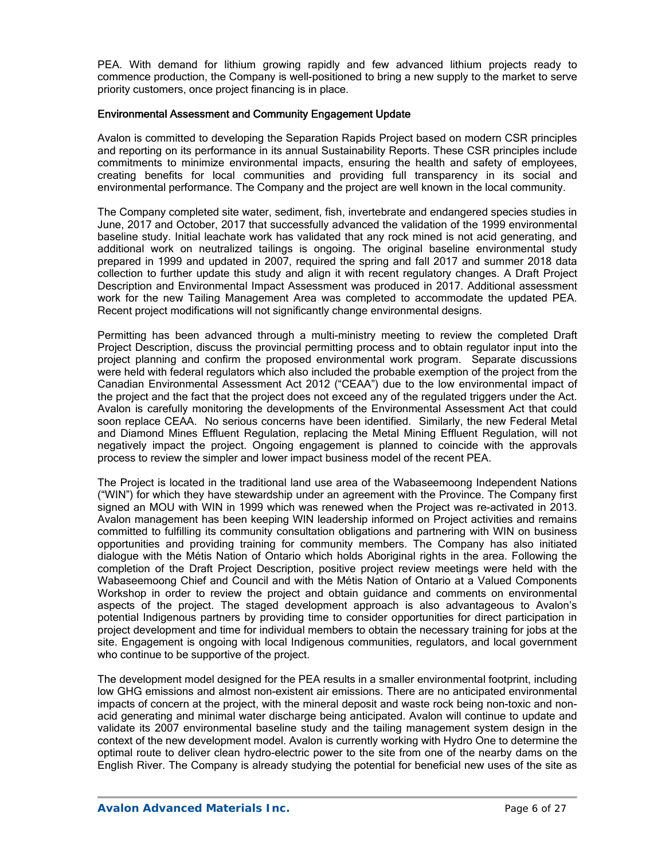PEA. With demand for lithium growing rapidly and few advanced lithium projects ready to commence production, the Company is well-positioned to bring a new supply to the market to serve priority customers, once project financing is in place.

### Environmental Assessment and Community Engagement Update

Avalon is committed to developing the Separation Rapids Project based on modern CSR principles and reporting on its performance in its annual Sustainability Reports. These CSR principles include commitments to minimize environmental impacts, ensuring the health and safety of employees, creating benefits for local communities and providing full transparency in its social and environmental performance. The Company and the project are well known in the local community.

The Company completed site water, sediment, fish, invertebrate and endangered species studies in June, 2017 and October, 2017 that successfully advanced the validation of the 1999 environmental baseline study. Initial leachate work has validated that any rock mined is not acid generating, and additional work on neutralized tailings is ongoing. The original baseline environmental study prepared in 1999 and updated in 2007, required the spring and fall 2017 and summer 2018 data collection to further update this study and align it with recent regulatory changes. A Draft Project Description and Environmental Impact Assessment was produced in 2017. Additional assessment work for the new Tailing Management Area was completed to accommodate the updated PEA. Recent project modifications will not significantly change environmental designs.

Permitting has been advanced through a multi-ministry meeting to review the completed Draft Project Description, discuss the provincial permitting process and to obtain regulator input into the project planning and confirm the proposed environmental work program. Separate discussions were held with federal regulators which also included the probable exemption of the project from the Canadian Environmental Assessment Act 2012 ("CEAA") due to the low environmental impact of the project and the fact that the project does not exceed any of the regulated triggers under the Act. Avalon is carefully monitoring the developments of the Environmental Assessment Act that could soon replace CEAA. No serious concerns have been identified. Similarly, the new Federal Metal and Diamond Mines Effluent Regulation, replacing the Metal Mining Effluent Regulation, will not negatively impact the project. Ongoing engagement is planned to coincide with the approvals process to review the simpler and lower impact business model of the recent PEA.

The Project is located in the traditional land use area of the Wabaseemoong Independent Nations ("WIN") for which they have stewardship under an agreement with the Province. The Company first signed an MOU with WIN in 1999 which was renewed when the Project was re-activated in 2013. Avalon management has been keeping WIN leadership informed on Project activities and remains committed to fulfilling its community consultation obligations and partnering with WIN on business opportunities and providing training for community members. The Company has also initiated dialogue with the Métis Nation of Ontario which holds Aboriginal rights in the area. Following the completion of the Draft Project Description, positive project review meetings were held with the Wabaseemoong Chief and Council and with the Métis Nation of Ontario at a Valued Components Workshop in order to review the project and obtain guidance and comments on environmental aspects of the project. The staged development approach is also advantageous to Avalon's potential Indigenous partners by providing time to consider opportunities for direct participation in project development and time for individual members to obtain the necessary training for jobs at the site. Engagement is ongoing with local Indigenous communities, regulators, and local government who continue to be supportive of the project.

The development model designed for the PEA results in a smaller environmental footprint, including low GHG emissions and almost non-existent air emissions. There are no anticipated environmental impacts of concern at the project, with the mineral deposit and waste rock being non-toxic and nonacid generating and minimal water discharge being anticipated. Avalon will continue to update and validate its 2007 environmental baseline study and the tailing management system design in the context of the new development model. Avalon is currently working with Hydro One to determine the optimal route to deliver clean hydro-electric power to the site from one of the nearby dams on the English River. The Company is already studying the potential for beneficial new uses of the site as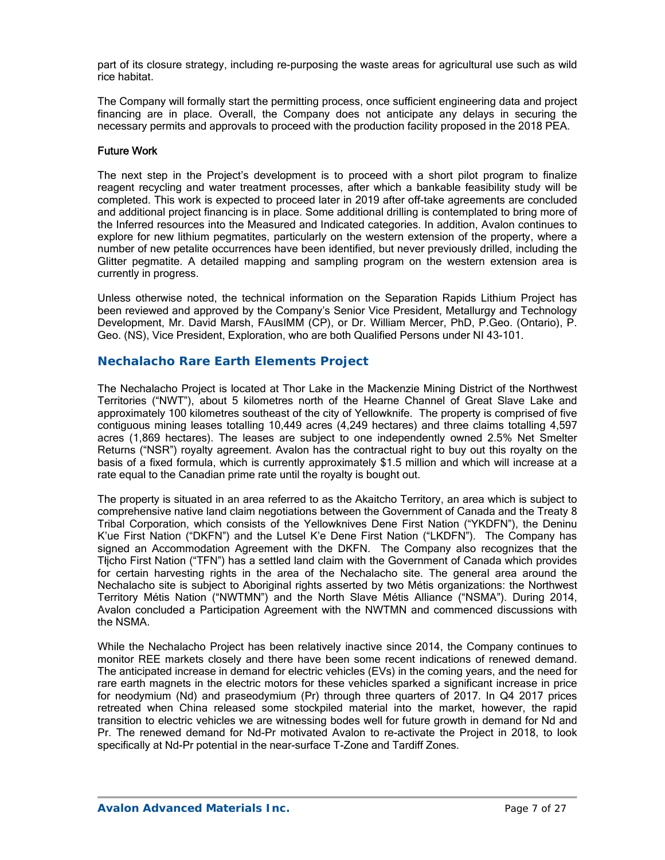part of its closure strategy, including re-purposing the waste areas for agricultural use such as wild rice habitat.

The Company will formally start the permitting process, once sufficient engineering data and project financing are in place. Overall, the Company does not anticipate any delays in securing the necessary permits and approvals to proceed with the production facility proposed in the 2018 PEA.

### Future Work

The next step in the Project's development is to proceed with a short pilot program to finalize reagent recycling and water treatment processes, after which a bankable feasibility study will be completed. This work is expected to proceed later in 2019 after off-take agreements are concluded and additional project financing is in place. Some additional drilling is contemplated to bring more of the Inferred resources into the Measured and Indicated categories. In addition, Avalon continues to explore for new lithium pegmatites, particularly on the western extension of the property, where a number of new petalite occurrences have been identified, but never previously drilled, including the Glitter pegmatite. A detailed mapping and sampling program on the western extension area is currently in progress.

Unless otherwise noted, the technical information on the Separation Rapids Lithium Project has been reviewed and approved by the Company's Senior Vice President, Metallurgy and Technology Development, Mr. David Marsh, FAusIMM (CP), or Dr. William Mercer, PhD, P.Geo. (Ontario), P. Geo. (NS), Vice President, Exploration, who are both Qualified Persons under NI 43-101.

## **Nechalacho Rare Earth Elements Project**

The Nechalacho Project is located at Thor Lake in the Mackenzie Mining District of the Northwest Territories ("NWT"), about 5 kilometres north of the Hearne Channel of Great Slave Lake and approximately 100 kilometres southeast of the city of Yellowknife. The property is comprised of five contiguous mining leases totalling 10,449 acres (4,249 hectares) and three claims totalling 4,597 acres (1,869 hectares). The leases are subject to one independently owned 2.5% Net Smelter Returns ("NSR") royalty agreement. Avalon has the contractual right to buy out this royalty on the basis of a fixed formula, which is currently approximately \$1.5 million and which will increase at a rate equal to the Canadian prime rate until the royalty is bought out.

The property is situated in an area referred to as the Akaitcho Territory, an area which is subject to comprehensive native land claim negotiations between the Government of Canada and the Treaty 8 Tribal Corporation, which consists of the Yellowknives Dene First Nation ("YKDFN"), the Deninu K'ue First Nation ("DKFN") and the Lutsel K'e Dene First Nation ("LKDFN"). The Company has signed an Accommodation Agreement with the DKFN. The Company also recognizes that the Tłįcho First Nation ("TFN") has a settled land claim with the Government of Canada which provides for certain harvesting rights in the area of the Nechalacho site. The general area around the Nechalacho site is subject to Aboriginal rights asserted by two Métis organizations: the Northwest Territory Métis Nation ("NWTMN") and the North Slave Métis Alliance ("NSMA"). During 2014, Avalon concluded a Participation Agreement with the NWTMN and commenced discussions with the NSMA.

While the Nechalacho Project has been relatively inactive since 2014, the Company continues to monitor REE markets closely and there have been some recent indications of renewed demand. The anticipated increase in demand for electric vehicles (EVs) in the coming years, and the need for rare earth magnets in the electric motors for these vehicles sparked a significant increase in price for neodymium (Nd) and praseodymium (Pr) through three quarters of 2017. In Q4 2017 prices retreated when China released some stockpiled material into the market, however, the rapid transition to electric vehicles we are witnessing bodes well for future growth in demand for Nd and Pr. The renewed demand for Nd-Pr motivated Avalon to re-activate the Project in 2018, to look specifically at Nd-Pr potential in the near-surface T-Zone and Tardiff Zones.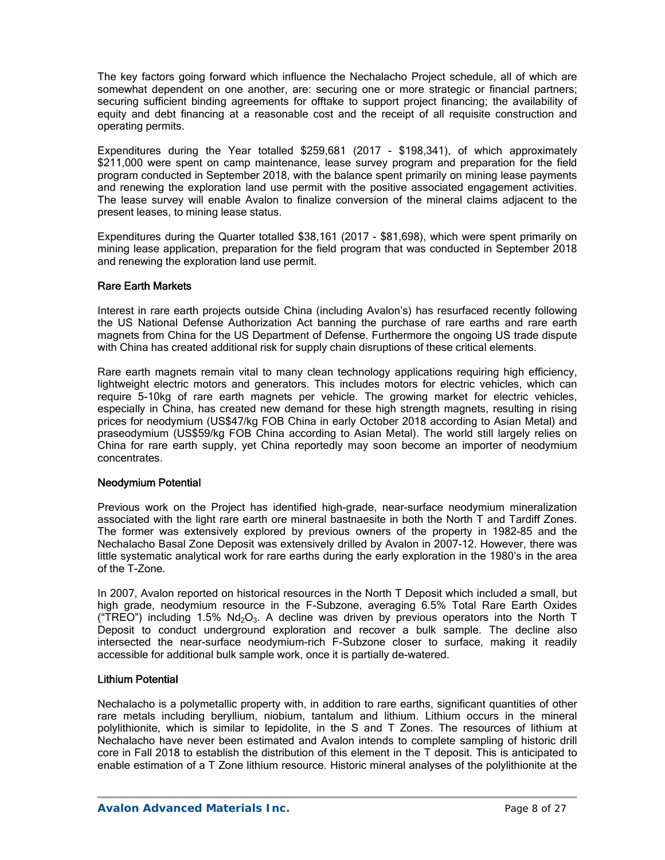The key factors going forward which influence the Nechalacho Project schedule, all of which are somewhat dependent on one another, are: securing one or more strategic or financial partners; securing sufficient binding agreements for offtake to support project financing; the availability of equity and debt financing at a reasonable cost and the receipt of all requisite construction and operating permits.

Expenditures during the Year totalled \$259,681 (2017 - \$198,341), of which approximately \$211,000 were spent on camp maintenance, lease survey program and preparation for the field program conducted in September 2018, with the balance spent primarily on mining lease payments and renewing the exploration land use permit with the positive associated engagement activities. The lease survey will enable Avalon to finalize conversion of the mineral claims adjacent to the present leases, to mining lease status.

Expenditures during the Quarter totalled \$38,161 (2017 - \$81,698), which were spent primarily on mining lease application, preparation for the field program that was conducted in September 2018 and renewing the exploration land use permit.

### Rare Earth Markets

Interest in rare earth projects outside China (including Avalon's) has resurfaced recently following the US National Defense Authorization Act banning the purchase of rare earths and rare earth magnets from China for the US Department of Defense. Furthermore the ongoing US trade dispute with China has created additional risk for supply chain disruptions of these critical elements.

Rare earth magnets remain vital to many clean technology applications requiring high efficiency, lightweight electric motors and generators. This includes motors for electric vehicles, which can require 5-10kg of rare earth magnets per vehicle. The growing market for electric vehicles, especially in China, has created new demand for these high strength magnets, resulting in rising prices for neodymium (US\$47/kg FOB China in early October 2018 according to Asian Metal) and praseodymium (US\$59/kg FOB China according to Asian Metal). The world still largely relies on China for rare earth supply, yet China reportedly may soon become an importer of neodymium concentrates.

### Neodymium Potential

Previous work on the Project has identified high-grade, near-surface neodymium mineralization associated with the light rare earth ore mineral bastnaesite in both the North T and Tardiff Zones. The former was extensively explored by previous owners of the property in 1982-85 and the Nechalacho Basal Zone Deposit was extensively drilled by Avalon in 2007-12. However, there was little systematic analytical work for rare earths during the early exploration in the 1980's in the area of the T-Zone.

In 2007, Avalon reported on historical resources in the North T Deposit which included a small, but high grade, neodymium resource in the F-Subzone, averaging 6.5% Total Rare Earth Oxides ("TREO") including 1.5%  $Nd<sub>2</sub>O<sub>3</sub>$ . A decline was driven by previous operators into the North T Deposit to conduct underground exploration and recover a bulk sample. The decline also intersected the near-surface neodymium-rich F-Subzone closer to surface, making it readily accessible for additional bulk sample work, once it is partially de-watered.

### Lithium Potential

Nechalacho is a polymetallic property with, in addition to rare earths, significant quantities of other rare metals including beryllium, niobium, tantalum and lithium. Lithium occurs in the mineral polylithionite, which is similar to lepidolite, in the S and T Zones. The resources of lithium at Nechalacho have never been estimated and Avalon intends to complete sampling of historic drill core in Fall 2018 to establish the distribution of this element in the T deposit. This is anticipated to enable estimation of a T Zone lithium resource. Historic mineral analyses of the polylithionite at the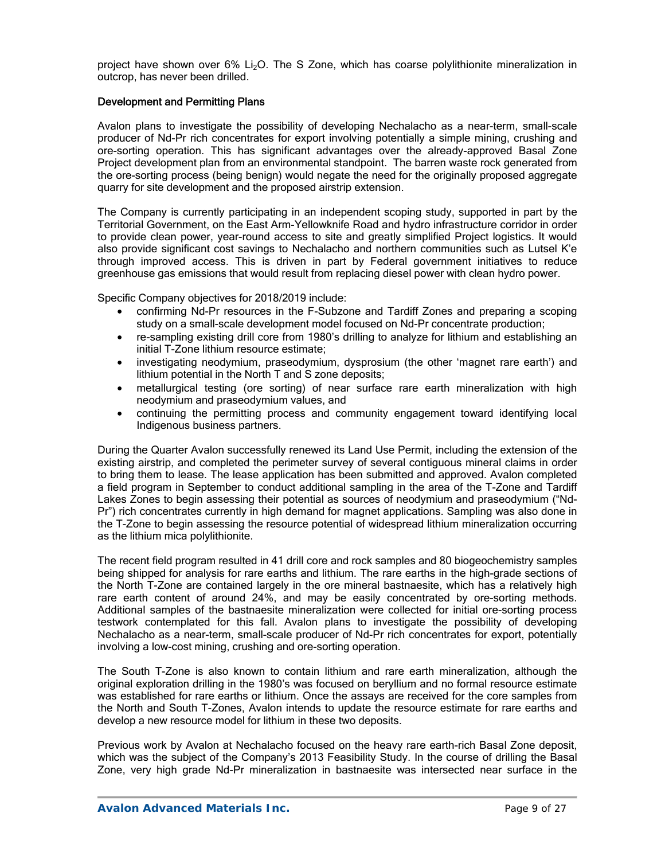project have shown over 6% Li<sub>2</sub>O. The S Zone, which has coarse polylithionite mineralization in outcrop, has never been drilled.

### Development and Permitting Plans

Avalon plans to investigate the possibility of developing Nechalacho as a near-term, small-scale producer of Nd-Pr rich concentrates for export involving potentially a simple mining, crushing and ore-sorting operation. This has significant advantages over the already-approved Basal Zone Project development plan from an environmental standpoint. The barren waste rock generated from the ore-sorting process (being benign) would negate the need for the originally proposed aggregate quarry for site development and the proposed airstrip extension.

The Company is currently participating in an independent scoping study, supported in part by the Territorial Government, on the East Arm-Yellowknife Road and hydro infrastructure corridor in order to provide clean power, year-round access to site and greatly simplified Project logistics. It would also provide significant cost savings to Nechalacho and northern communities such as Lutsel K'e through improved access. This is driven in part by Federal government initiatives to reduce greenhouse gas emissions that would result from replacing diesel power with clean hydro power.

Specific Company objectives for 2018/2019 include:

- confirming Nd-Pr resources in the F-Subzone and Tardiff Zones and preparing a scoping study on a small-scale development model focused on Nd-Pr concentrate production;
- re-sampling existing drill core from 1980's drilling to analyze for lithium and establishing an initial T-Zone lithium resource estimate;
- investigating neodymium, praseodymium, dysprosium (the other 'magnet rare earth') and lithium potential in the North T and S zone deposits;
- metallurgical testing (ore sorting) of near surface rare earth mineralization with high neodymium and praseodymium values, and
- continuing the permitting process and community engagement toward identifying local Indigenous business partners.

During the Quarter Avalon successfully renewed its Land Use Permit, including the extension of the existing airstrip, and completed the perimeter survey of several contiguous mineral claims in order to bring them to lease. The lease application has been submitted and approved. Avalon completed a field program in September to conduct additional sampling in the area of the T-Zone and Tardiff Lakes Zones to begin assessing their potential as sources of neodymium and praseodymium ("Nd-Pr") rich concentrates currently in high demand for magnet applications. Sampling was also done in the T-Zone to begin assessing the resource potential of widespread lithium mineralization occurring as the lithium mica polylithionite.

The recent field program resulted in 41 drill core and rock samples and 80 biogeochemistry samples being shipped for analysis for rare earths and lithium. The rare earths in the high-grade sections of the North T-Zone are contained largely in the ore mineral bastnaesite, which has a relatively high rare earth content of around 24%, and may be easily concentrated by ore-sorting methods. Additional samples of the bastnaesite mineralization were collected for initial ore-sorting process testwork contemplated for this fall. Avalon plans to investigate the possibility of developing Nechalacho as a near-term, small-scale producer of Nd-Pr rich concentrates for export, potentially involving a low-cost mining, crushing and ore-sorting operation.

The South T-Zone is also known to contain lithium and rare earth mineralization, although the original exploration drilling in the 1980's was focused on beryllium and no formal resource estimate was established for rare earths or lithium. Once the assays are received for the core samples from the North and South T-Zones, Avalon intends to update the resource estimate for rare earths and develop a new resource model for lithium in these two deposits.

Previous work by Avalon at Nechalacho focused on the heavy rare earth-rich Basal Zone deposit, which was the subject of the Company's 2013 Feasibility Study. In the course of drilling the Basal Zone, very high grade Nd-Pr mineralization in bastnaesite was intersected near surface in the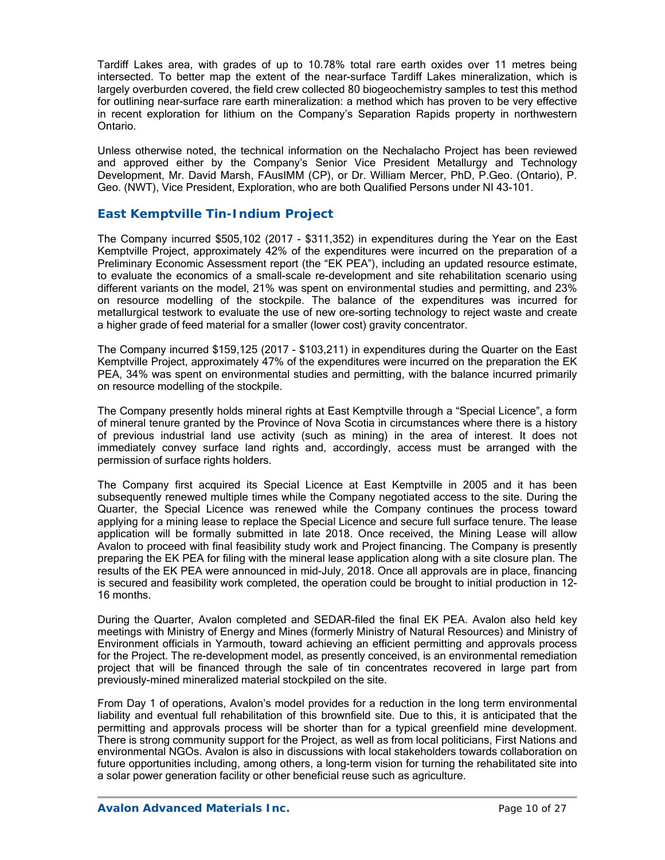Tardiff Lakes area, with grades of up to 10.78% total rare earth oxides over 11 metres being intersected. To better map the extent of the near-surface Tardiff Lakes mineralization, which is largely overburden covered, the field crew collected 80 biogeochemistry samples to test this method for outlining near-surface rare earth mineralization: a method which has proven to be very effective in recent exploration for lithium on the Company's Separation Rapids property in northwestern Ontario.

Unless otherwise noted, the technical information on the Nechalacho Project has been reviewed and approved either by the Company's Senior Vice President Metallurgy and Technology Development, Mr. David Marsh, FAusIMM (CP), or Dr. William Mercer, PhD, P.Geo. (Ontario), P. Geo. (NWT), Vice President, Exploration, who are both Qualified Persons under NI 43-101.

## *East Kemptville Tin-Indium Project*

The Company incurred \$505,102 (2017 - \$311,352) in expenditures during the Year on the East Kemptville Project, approximately 42% of the expenditures were incurred on the preparation of a Preliminary Economic Assessment report (the "EK PEA"), including an updated resource estimate, to evaluate the economics of a small-scale re-development and site rehabilitation scenario using different variants on the model, 21% was spent on environmental studies and permitting, and 23% on resource modelling of the stockpile. The balance of the expenditures was incurred for metallurgical testwork to evaluate the use of new ore-sorting technology to reject waste and create a higher grade of feed material for a smaller (lower cost) gravity concentrator.

The Company incurred \$159,125 (2017 - \$103,211) in expenditures during the Quarter on the East Kemptville Project, approximately 47% of the expenditures were incurred on the preparation the EK PEA, 34% was spent on environmental studies and permitting, with the balance incurred primarily on resource modelling of the stockpile.

The Company presently holds mineral rights at East Kemptville through a "Special Licence", a form of mineral tenure granted by the Province of Nova Scotia in circumstances where there is a history of previous industrial land use activity (such as mining) in the area of interest. It does not immediately convey surface land rights and, accordingly, access must be arranged with the permission of surface rights holders.

The Company first acquired its Special Licence at East Kemptville in 2005 and it has been subsequently renewed multiple times while the Company negotiated access to the site. During the Quarter, the Special Licence was renewed while the Company continues the process toward applying for a mining lease to replace the Special Licence and secure full surface tenure. The lease application will be formally submitted in late 2018. Once received, the Mining Lease will allow Avalon to proceed with final feasibility study work and Project financing. The Company is presently preparing the EK PEA for filing with the mineral lease application along with a site closure plan. The results of the EK PEA were announced in mid-July, 2018. Once all approvals are in place, financing is secured and feasibility work completed, the operation could be brought to initial production in 12- 16 months.

During the Quarter, Avalon completed and SEDAR-filed the final EK PEA. Avalon also held key meetings with Ministry of Energy and Mines (formerly Ministry of Natural Resources) and Ministry of Environment officials in Yarmouth, toward achieving an efficient permitting and approvals process for the Project. The re-development model, as presently conceived, is an environmental remediation project that will be financed through the sale of tin concentrates recovered in large part from previously-mined mineralized material stockpiled on the site.

From Day 1 of operations, Avalon's model provides for a reduction in the long term environmental liability and eventual full rehabilitation of this brownfield site. Due to this, it is anticipated that the permitting and approvals process will be shorter than for a typical greenfield mine development. There is strong community support for the Project, as well as from local politicians, First Nations and environmental NGOs. Avalon is also in discussions with local stakeholders towards collaboration on future opportunities including, among others, a long-term vision for turning the rehabilitated site into a solar power generation facility or other beneficial reuse such as agriculture.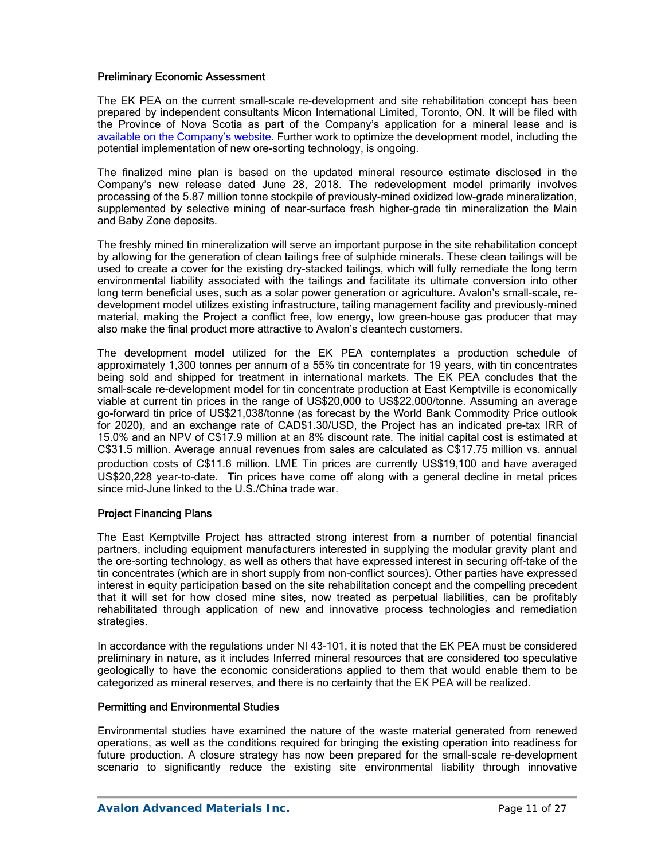### Preliminary Economic Assessment

The EK PEA on the current small-scale re-development and site rehabilitation concept has been prepared by independent consultants Micon International Limited, Toronto, ON. It will be filed with the Province of Nova Scotia as part of the Company's application for a mineral lease and is available on the Company's website. Further work to optimize the development model, including the potential implementation of new ore-sorting technology, is ongoing.

The finalized mine plan is based on the updated mineral resource estimate disclosed in the Company's new release dated June 28, 2018. The redevelopment model primarily involves processing of the 5.87 million tonne stockpile of previously-mined oxidized low-grade mineralization, supplemented by selective mining of near-surface fresh higher-grade tin mineralization the Main and Baby Zone deposits.

The freshly mined tin mineralization will serve an important purpose in the site rehabilitation concept by allowing for the generation of clean tailings free of sulphide minerals. These clean tailings will be used to create a cover for the existing dry-stacked tailings, which will fully remediate the long term environmental liability associated with the tailings and facilitate its ultimate conversion into other long term beneficial uses, such as a solar power generation or agriculture. Avalon's small-scale, redevelopment model utilizes existing infrastructure, tailing management facility and previously-mined material, making the Project a conflict free, low energy, low green-house gas producer that may also make the final product more attractive to Avalon's cleantech customers.

The development model utilized for the EK PEA contemplates a production schedule of approximately 1,300 tonnes per annum of a 55% tin concentrate for 19 years, with tin concentrates being sold and shipped for treatment in international markets. The EK PEA concludes that the small-scale re-development model for tin concentrate production at East Kemptville is economically viable at current tin prices in the range of US\$20,000 to US\$22,000/tonne. Assuming an average go-forward tin price of US\$21,038/tonne (as forecast by the World Bank Commodity Price outlook for 2020), and an exchange rate of CAD\$1.30/USD, the Project has an indicated pre-tax IRR of 15.0% and an NPV of C\$17.9 million at an 8% discount rate. The initial capital cost is estimated at C\$31.5 million. Average annual revenues from sales are calculated as C\$17.75 million vs. annual production costs of C\$11.6 million. LME Tin prices are currently US\$19,100 and have averaged US\$20,228 year-to-date. Tin prices have come off along with a general decline in metal prices since mid-June linked to the U.S./China trade war.

### Project Financing Plans

The East Kemptville Project has attracted strong interest from a number of potential financial partners, including equipment manufacturers interested in supplying the modular gravity plant and the ore-sorting technology, as well as others that have expressed interest in securing off-take of the tin concentrates (which are in short supply from non-conflict sources). Other parties have expressed interest in equity participation based on the site rehabilitation concept and the compelling precedent that it will set for how closed mine sites, now treated as perpetual liabilities, can be profitably rehabilitated through application of new and innovative process technologies and remediation strategies.

In accordance with the regulations under NI 43-101, it is noted that the EK PEA must be considered preliminary in nature, as it includes Inferred mineral resources that are considered too speculative geologically to have the economic considerations applied to them that would enable them to be categorized as mineral reserves, and there is no certainty that the EK PEA will be realized.

### Permitting and Environmental Studies

Environmental studies have examined the nature of the waste material generated from renewed operations, as well as the conditions required for bringing the existing operation into readiness for future production. A closure strategy has now been prepared for the small-scale re-development scenario to significantly reduce the existing site environmental liability through innovative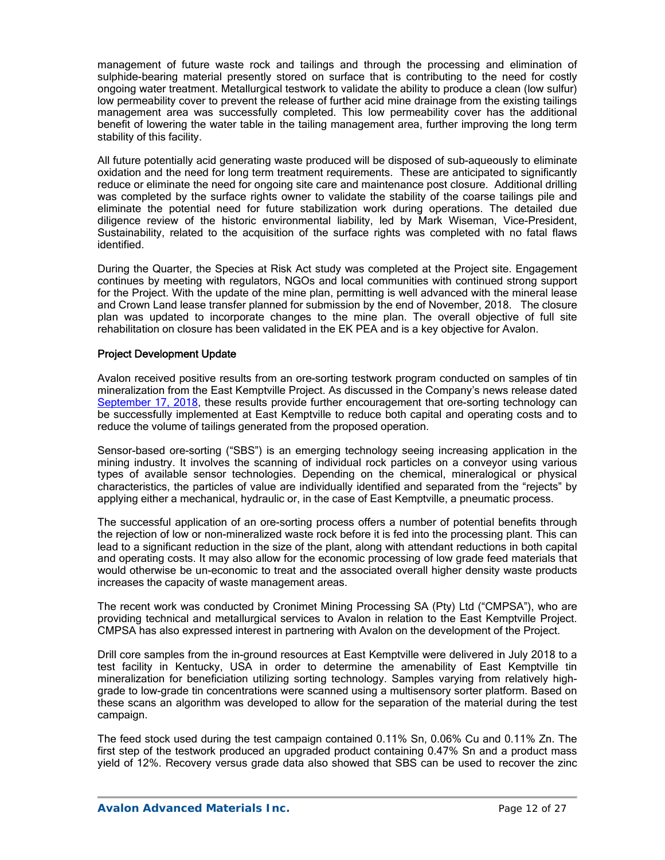management of future waste rock and tailings and through the processing and elimination of sulphide-bearing material presently stored on surface that is contributing to the need for costly ongoing water treatment. Metallurgical testwork to validate the ability to produce a clean (low sulfur) low permeability cover to prevent the release of further acid mine drainage from the existing tailings management area was successfully completed. This low permeability cover has the additional benefit of lowering the water table in the tailing management area, further improving the long term stability of this facility.

All future potentially acid generating waste produced will be disposed of sub-aqueously to eliminate oxidation and the need for long term treatment requirements. These are anticipated to significantly reduce or eliminate the need for ongoing site care and maintenance post closure. Additional drilling was completed by the surface rights owner to validate the stability of the coarse tailings pile and eliminate the potential need for future stabilization work during operations. The detailed due diligence review of the historic environmental liability, led by Mark Wiseman, Vice-President, Sustainability, related to the acquisition of the surface rights was completed with no fatal flaws identified.

During the Quarter, the Species at Risk Act study was completed at the Project site. Engagement continues by meeting with regulators, NGOs and local communities with continued strong support for the Project. With the update of the mine plan, permitting is well advanced with the mineral lease and Crown Land lease transfer planned for submission by the end of November, 2018. The closure plan was updated to incorporate changes to the mine plan. The overall objective of full site rehabilitation on closure has been validated in the EK PEA and is a key objective for Avalon.

### Project Development Update

Avalon received positive results from an ore-sorting testwork program conducted on samples of tin mineralization from the East Kemptville Project. As discussed in the Company's news release dated September 17, 2018, these results provide further encouragement that ore-sorting technology can be successfully implemented at East Kemptville to reduce both capital and operating costs and to reduce the volume of tailings generated from the proposed operation.

Sensor-based ore-sorting ("SBS") is an emerging technology seeing increasing application in the mining industry. It involves the scanning of individual rock particles on a conveyor using various types of available sensor technologies. Depending on the chemical, mineralogical or physical characteristics, the particles of value are individually identified and separated from the "rejects" by applying either a mechanical, hydraulic or, in the case of East Kemptville, a pneumatic process.

The successful application of an ore-sorting process offers a number of potential benefits through the rejection of low or non-mineralized waste rock before it is fed into the processing plant. This can lead to a significant reduction in the size of the plant, along with attendant reductions in both capital and operating costs. It may also allow for the economic processing of low grade feed materials that would otherwise be un-economic to treat and the associated overall higher density waste products increases the capacity of waste management areas.

The recent work was conducted by Cronimet Mining Processing SA (Pty) Ltd ("CMPSA"), who are providing technical and metallurgical services to Avalon in relation to the East Kemptville Project. CMPSA has also expressed interest in partnering with Avalon on the development of the Project.

Drill core samples from the in-ground resources at East Kemptville were delivered in July 2018 to a test facility in Kentucky, USA in order to determine the amenability of East Kemptville tin mineralization for beneficiation utilizing sorting technology. Samples varying from relatively highgrade to low-grade tin concentrations were scanned using a multisensory sorter platform. Based on these scans an algorithm was developed to allow for the separation of the material during the test campaign.

The feed stock used during the test campaign contained 0.11% Sn, 0.06% Cu and 0.11% Zn. The first step of the testwork produced an upgraded product containing 0.47% Sn and a product mass yield of 12%. Recovery versus grade data also showed that SBS can be used to recover the zinc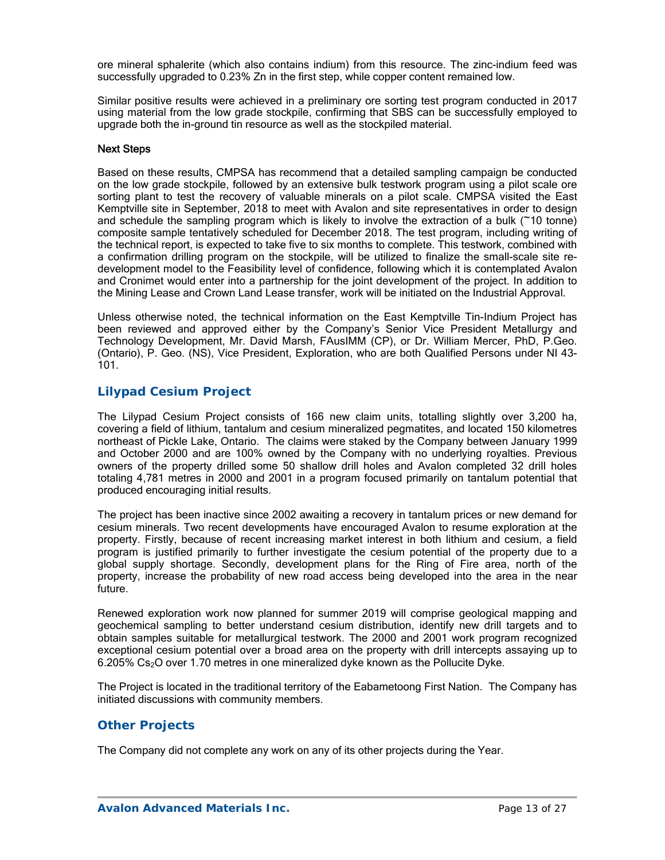ore mineral sphalerite (which also contains indium) from this resource. The zinc-indium feed was successfully upgraded to 0.23% Zn in the first step, while copper content remained low.

Similar positive results were achieved in a preliminary ore sorting test program conducted in 2017 using material from the low grade stockpile, confirming that SBS can be successfully employed to upgrade both the in-ground tin resource as well as the stockpiled material.

### Next Steps

Based on these results, CMPSA has recommend that a detailed sampling campaign be conducted on the low grade stockpile, followed by an extensive bulk testwork program using a pilot scale ore sorting plant to test the recovery of valuable minerals on a pilot scale. CMPSA visited the East Kemptville site in September, 2018 to meet with Avalon and site representatives in order to design and schedule the sampling program which is likely to involve the extraction of a bulk (~10 tonne) composite sample tentatively scheduled for December 2018. The test program, including writing of the technical report, is expected to take five to six months to complete. This testwork, combined with a confirmation drilling program on the stockpile, will be utilized to finalize the small-scale site redevelopment model to the Feasibility level of confidence, following which it is contemplated Avalon and Cronimet would enter into a partnership for the joint development of the project. In addition to the Mining Lease and Crown Land Lease transfer, work will be initiated on the Industrial Approval.

Unless otherwise noted, the technical information on the East Kemptville Tin-Indium Project has been reviewed and approved either by the Company's Senior Vice President Metallurgy and Technology Development, Mr. David Marsh, FAusIMM (CP), or Dr. William Mercer, PhD, P.Geo. (Ontario), P. Geo. (NS), Vice President, Exploration, who are both Qualified Persons under NI 43- 101.

## *Lilypad Cesium Project*

The Lilypad Cesium Project consists of 166 new claim units, totalling slightly over 3,200 ha, covering a field of lithium, tantalum and cesium mineralized pegmatites, and located 150 kilometres northeast of Pickle Lake, Ontario. The claims were staked by the Company between January 1999 and October 2000 and are 100% owned by the Company with no underlying royalties. Previous owners of the property drilled some 50 shallow drill holes and Avalon completed 32 drill holes totaling 4,781 metres in 2000 and 2001 in a program focused primarily on tantalum potential that produced encouraging initial results.

The project has been inactive since 2002 awaiting a recovery in tantalum prices or new demand for cesium minerals. Two recent developments have encouraged Avalon to resume exploration at the property. Firstly, because of recent increasing market interest in both lithium and cesium, a field program is justified primarily to further investigate the cesium potential of the property due to a global supply shortage. Secondly, development plans for the Ring of Fire area, north of the property, increase the probability of new road access being developed into the area in the near future.

Renewed exploration work now planned for summer 2019 will comprise geological mapping and geochemical sampling to better understand cesium distribution, identify new drill targets and to obtain samples suitable for metallurgical testwork. The 2000 and 2001 work program recognized exceptional cesium potential over a broad area on the property with drill intercepts assaying up to 6.205% Cs<sub>2</sub>O over 1.70 metres in one mineralized dyke known as the Pollucite Dyke.

The Project is located in the traditional territory of the Eabametoong First Nation. The Company has initiated discussions with community members.

### *Other Projects*

The Company did not complete any work on any of its other projects during the Year.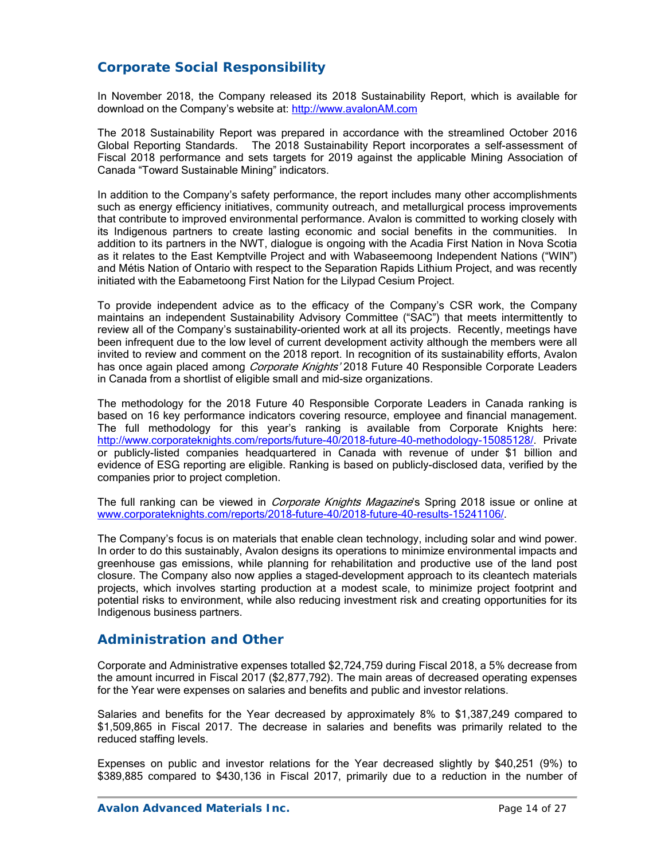# **Corporate Social Responsibility**

In November 2018, the Company released its 2018 Sustainability Report, which is available for download on the Company's website at: http://www.avalonAM.com

The 2018 Sustainability Report was prepared in accordance with the streamlined October 2016 Global Reporting Standards. The 2018 Sustainability Report incorporates a self-assessment of Fiscal 2018 performance and sets targets for 2019 against the applicable Mining Association of Canada "Toward Sustainable Mining" indicators.

In addition to the Company's safety performance, the report includes many other accomplishments such as energy efficiency initiatives, community outreach, and metallurgical process improvements that contribute to improved environmental performance. Avalon is committed to working closely with its Indigenous partners to create lasting economic and social benefits in the communities. In addition to its partners in the NWT, dialogue is ongoing with the Acadia First Nation in Nova Scotia as it relates to the East Kemptville Project and with Wabaseemoong Independent Nations ("WIN") and Métis Nation of Ontario with respect to the Separation Rapids Lithium Project, and was recently initiated with the Eabametoong First Nation for the Lilypad Cesium Project.

To provide independent advice as to the efficacy of the Company's CSR work, the Company maintains an independent Sustainability Advisory Committee ("SAC") that meets intermittently to review all of the Company's sustainability-oriented work at all its projects. Recently, meetings have been infrequent due to the low level of current development activity although the members were all invited to review and comment on the 2018 report. In recognition of its sustainability efforts, Avalon has once again placed among *Corporate Knights'* 2018 Future 40 Responsible Corporate Leaders in Canada from a shortlist of eligible small and mid-size organizations.

The methodology for the 2018 Future 40 Responsible Corporate Leaders in Canada ranking is based on 16 key performance indicators covering resource, employee and financial management. The full methodology for this year's ranking is available from Corporate Knights here: http://www.corporateknights.com/reports/future-40/2018-future-40-methodology-15085128/. Private or publicly-listed companies headquartered in Canada with revenue of under \$1 billion and evidence of ESG reporting are eligible. Ranking is based on publicly-disclosed data, verified by the companies prior to project completion.

The full ranking can be viewed in *Corporate Knights Magazine*'s Spring 2018 issue or online at www.corporateknights.com/reports/2018-future-40/2018-future-40-results-15241106/.

The Company's focus is on materials that enable clean technology, including solar and wind power. In order to do this sustainably, Avalon designs its operations to minimize environmental impacts and greenhouse gas emissions, while planning for rehabilitation and productive use of the land post closure. The Company also now applies a staged-development approach to its cleantech materials projects, which involves starting production at a modest scale, to minimize project footprint and potential risks to environment, while also reducing investment risk and creating opportunities for its Indigenous business partners.

## **Administration and Other**

Corporate and Administrative expenses totalled \$2,724,759 during Fiscal 2018, a 5% decrease from the amount incurred in Fiscal 2017 (\$2,877,792). The main areas of decreased operating expenses for the Year were expenses on salaries and benefits and public and investor relations.

Salaries and benefits for the Year decreased by approximately 8% to \$1,387,249 compared to \$1,509,865 in Fiscal 2017. The decrease in salaries and benefits was primarily related to the reduced staffing levels.

Expenses on public and investor relations for the Year decreased slightly by \$40,251 (9%) to \$389,885 compared to \$430,136 in Fiscal 2017, primarily due to a reduction in the number of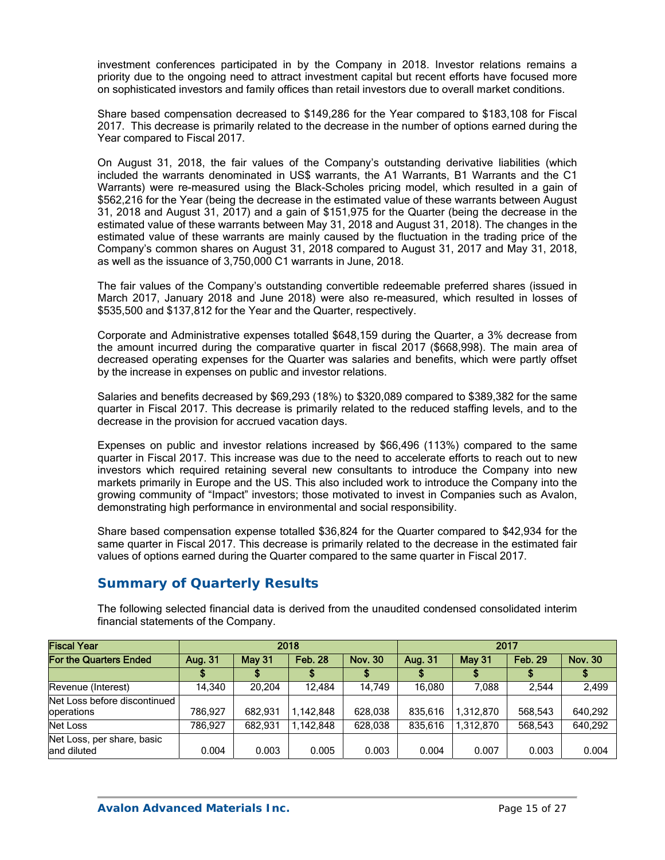investment conferences participated in by the Company in 2018. Investor relations remains a priority due to the ongoing need to attract investment capital but recent efforts have focused more on sophisticated investors and family offices than retail investors due to overall market conditions.

Share based compensation decreased to \$149,286 for the Year compared to \$183,108 for Fiscal 2017. This decrease is primarily related to the decrease in the number of options earned during the Year compared to Fiscal 2017.

On August 31, 2018, the fair values of the Company's outstanding derivative liabilities (which included the warrants denominated in US\$ warrants, the A1 Warrants, B1 Warrants and the C1 Warrants) were re-measured using the Black-Scholes pricing model, which resulted in a gain of \$562,216 for the Year (being the decrease in the estimated value of these warrants between August 31, 2018 and August 31, 2017) and a gain of \$151,975 for the Quarter (being the decrease in the estimated value of these warrants between May 31, 2018 and August 31, 2018). The changes in the estimated value of these warrants are mainly caused by the fluctuation in the trading price of the Company's common shares on August 31, 2018 compared to August 31, 2017 and May 31, 2018, as well as the issuance of 3,750,000 C1 warrants in June, 2018.

The fair values of the Company's outstanding convertible redeemable preferred shares (issued in March 2017, January 2018 and June 2018) were also re-measured, which resulted in losses of \$535,500 and \$137,812 for the Year and the Quarter, respectively.

Corporate and Administrative expenses totalled \$648,159 during the Quarter, a 3% decrease from the amount incurred during the comparative quarter in fiscal 2017 (\$668,998). The main area of decreased operating expenses for the Quarter was salaries and benefits, which were partly offset by the increase in expenses on public and investor relations.

Salaries and benefits decreased by \$69,293 (18%) to \$320,089 compared to \$389,382 for the same quarter in Fiscal 2017. This decrease is primarily related to the reduced staffing levels, and to the decrease in the provision for accrued vacation days.

Expenses on public and investor relations increased by \$66,496 (113%) compared to the same quarter in Fiscal 2017. This increase was due to the need to accelerate efforts to reach out to new investors which required retaining several new consultants to introduce the Company into new markets primarily in Europe and the US. This also included work to introduce the Company into the growing community of "Impact" investors; those motivated to invest in Companies such as Avalon, demonstrating high performance in environmental and social responsibility.

Share based compensation expense totalled \$36,824 for the Quarter compared to \$42,934 for the same quarter in Fiscal 2017. This decrease is primarily related to the decrease in the estimated fair values of options earned during the Quarter compared to the same quarter in Fiscal 2017.

# **Summary of Quarterly Results**

The following selected financial data is derived from the unaudited condensed consolidated interim financial statements of the Company.

| <b>Fiscal Year</b>                                 |         |               | 2018<br>2017   |                |                |               |                |                |  |
|----------------------------------------------------|---------|---------------|----------------|----------------|----------------|---------------|----------------|----------------|--|
| For the Quarters Ended                             | Aug. 31 | <b>May 31</b> | <b>Feb. 28</b> | <b>Nov. 30</b> | <b>Aug. 31</b> | <b>May 31</b> | <b>Feb. 29</b> | <b>Nov. 30</b> |  |
|                                                    |         |               |                |                |                |               |                |                |  |
| Revenue (Interest)                                 | 14.340  | 20.204        | 12.484         | 14.749         | 16.080         | 7.088         | 2.544          | 2,499          |  |
| Net Loss before discontinued<br><b>loperations</b> | 786.927 | 682.931       | 1.142.848      | 628.038        | 835.616        | 1.312.870     | 568.543        | 640,292        |  |
| Net Loss                                           | 786.927 | 682.931       | 1.142.848      | 628.038        | 835.616        | 1.312.870     | 568.543        | 640,292        |  |
| Net Loss, per share, basic<br>land diluted         | 0.004   | 0.003         | 0.005          | 0.003          | 0.004          | 0.007         | 0.003          | 0.004          |  |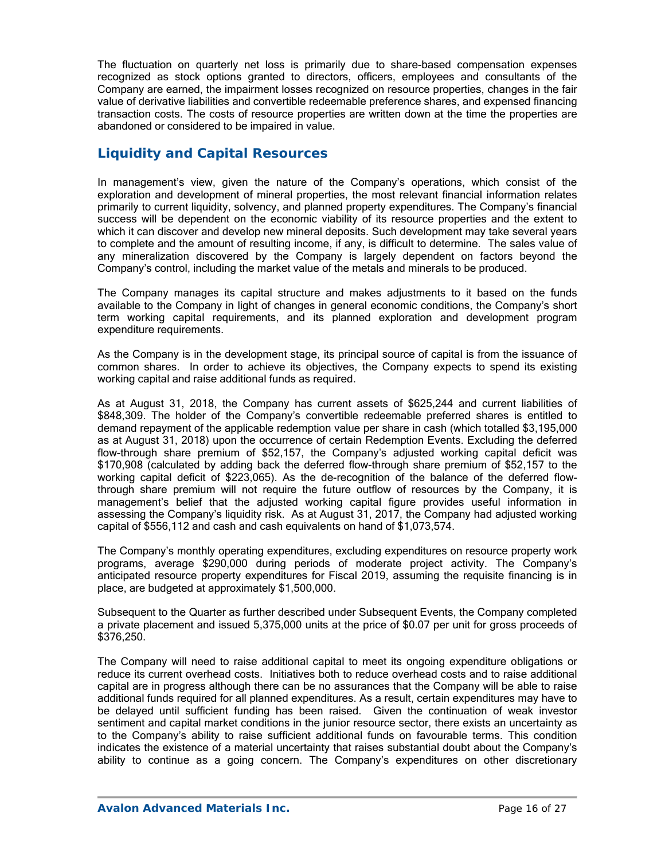The fluctuation on quarterly net loss is primarily due to share-based compensation expenses recognized as stock options granted to directors, officers, employees and consultants of the Company are earned, the impairment losses recognized on resource properties, changes in the fair value of derivative liabilities and convertible redeemable preference shares, and expensed financing transaction costs. The costs of resource properties are written down at the time the properties are abandoned or considered to be impaired in value.

## **Liquidity and Capital Resources**

In management's view, given the nature of the Company's operations, which consist of the exploration and development of mineral properties, the most relevant financial information relates primarily to current liquidity, solvency, and planned property expenditures. The Company's financial success will be dependent on the economic viability of its resource properties and the extent to which it can discover and develop new mineral deposits. Such development may take several years to complete and the amount of resulting income, if any, is difficult to determine. The sales value of any mineralization discovered by the Company is largely dependent on factors beyond the Company's control, including the market value of the metals and minerals to be produced.

The Company manages its capital structure and makes adjustments to it based on the funds available to the Company in light of changes in general economic conditions, the Company's short term working capital requirements, and its planned exploration and development program expenditure requirements.

As the Company is in the development stage, its principal source of capital is from the issuance of common shares. In order to achieve its objectives, the Company expects to spend its existing working capital and raise additional funds as required.

As at August 31, 2018, the Company has current assets of \$625,244 and current liabilities of \$848,309. The holder of the Company's convertible redeemable preferred shares is entitled to demand repayment of the applicable redemption value per share in cash (which totalled \$3,195,000 as at August 31, 2018) upon the occurrence of certain Redemption Events. Excluding the deferred flow-through share premium of \$52,157, the Company's adjusted working capital deficit was \$170,908 (calculated by adding back the deferred flow-through share premium of \$52,157 to the working capital deficit of \$223,065). As the de-recognition of the balance of the deferred flowthrough share premium will not require the future outflow of resources by the Company, it is management's belief that the adjusted working capital figure provides useful information in assessing the Company's liquidity risk. As at August 31, 2017, the Company had adjusted working capital of \$556,112 and cash and cash equivalents on hand of \$1,073,574.

The Company's monthly operating expenditures, excluding expenditures on resource property work programs, average \$290,000 during periods of moderate project activity. The Company's anticipated resource property expenditures for Fiscal 2019, assuming the requisite financing is in place, are budgeted at approximately \$1,500,000.

Subsequent to the Quarter as further described under Subsequent Events, the Company completed a private placement and issued 5,375,000 units at the price of \$0.07 per unit for gross proceeds of \$376,250.

The Company will need to raise additional capital to meet its ongoing expenditure obligations or reduce its current overhead costs. Initiatives both to reduce overhead costs and to raise additional capital are in progress although there can be no assurances that the Company will be able to raise additional funds required for all planned expenditures. As a result, certain expenditures may have to be delayed until sufficient funding has been raised. Given the continuation of weak investor sentiment and capital market conditions in the junior resource sector, there exists an uncertainty as to the Company's ability to raise sufficient additional funds on favourable terms. This condition indicates the existence of a material uncertainty that raises substantial doubt about the Company's ability to continue as a going concern. The Company's expenditures on other discretionary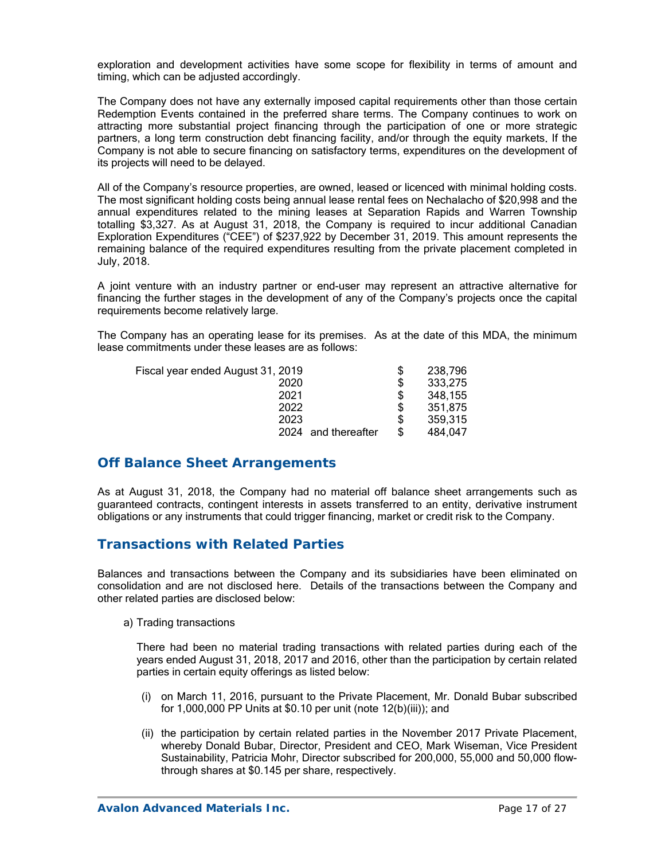exploration and development activities have some scope for flexibility in terms of amount and timing, which can be adjusted accordingly.

The Company does not have any externally imposed capital requirements other than those certain Redemption Events contained in the preferred share terms. The Company continues to work on attracting more substantial project financing through the participation of one or more strategic partners, a long term construction debt financing facility, and/or through the equity markets. If the Company is not able to secure financing on satisfactory terms, expenditures on the development of its projects will need to be delayed.

All of the Company's resource properties, are owned, leased or licenced with minimal holding costs. The most significant holding costs being annual lease rental fees on Nechalacho of \$20,998 and the annual expenditures related to the mining leases at Separation Rapids and Warren Township totalling \$3,327. As at August 31, 2018, the Company is required to incur additional Canadian Exploration Expenditures ("CEE") of \$237,922 by December 31, 2019. This amount represents the remaining balance of the required expenditures resulting from the private placement completed in July, 2018.

A joint venture with an industry partner or end-user may represent an attractive alternative for financing the further stages in the development of any of the Company's projects once the capital requirements become relatively large.

The Company has an operating lease for its premises. As at the date of this MDA, the minimum lease commitments under these leases are as follows:

| Fiscal year ended August 31, 2019 | \$ | 238,796 |
|-----------------------------------|----|---------|
| 2020                              | \$ | 333,275 |
| 2021                              | S  | 348,155 |
| 2022                              | S  | 351,875 |
| 2023                              | S  | 359.315 |
| and thereafter<br>2024            | \$ | 484.047 |

## **Off Balance Sheet Arrangements**

As at August 31, 2018, the Company had no material off balance sheet arrangements such as guaranteed contracts, contingent interests in assets transferred to an entity, derivative instrument obligations or any instruments that could trigger financing, market or credit risk to the Company.

## **Transactions with Related Parties**

Balances and transactions between the Company and its subsidiaries have been eliminated on consolidation and are not disclosed here. Details of the transactions between the Company and other related parties are disclosed below:

### a) Trading transactions

There had been no material trading transactions with related parties during each of the years ended August 31, 2018, 2017 and 2016, other than the participation by certain related parties in certain equity offerings as listed below:

- (i) on March 11, 2016, pursuant to the Private Placement, Mr. Donald Bubar subscribed for 1,000,000 PP Units at \$0.10 per unit (note 12(b)(iii)); and
- (ii) the participation by certain related parties in the November 2017 Private Placement, whereby Donald Bubar, Director, President and CEO, Mark Wiseman, Vice President Sustainability, Patricia Mohr, Director subscribed for 200,000, 55,000 and 50,000 flowthrough shares at \$0.145 per share, respectively.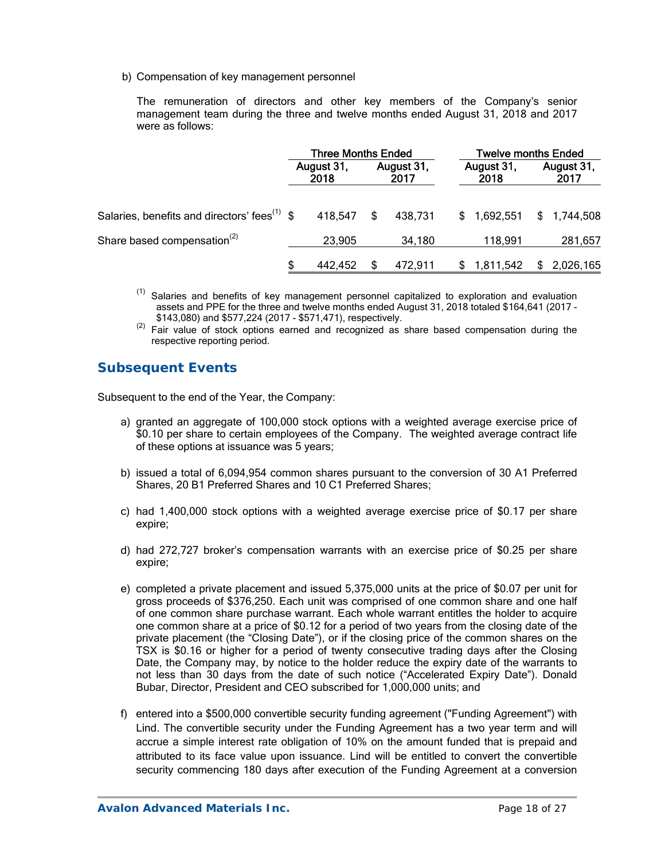b) Compensation of key management personnel

The remuneration of directors and other key members of the Company's senior management team during the three and twelve months ended August 31, 2018 and 2017 were as follows:

|                                                          | <b>Three Months Ended</b> |         |                    |         | <b>Twelve months Ended</b> |           |                    |             |
|----------------------------------------------------------|---------------------------|---------|--------------------|---------|----------------------------|-----------|--------------------|-------------|
|                                                          | August 31,<br>2018        |         | August 31,<br>2017 |         | August 31,<br>2018         |           | August 31,<br>2017 |             |
| Salaries, benefits and directors' fees <sup>(1)</sup> \$ |                           | 418.547 | S                  | 438,731 | S.                         | 1,692,551 |                    | \$1,744,508 |
| Share based compensation <sup>(2)</sup>                  |                           | 23,905  |                    | 34,180  |                            | 118,991   |                    | 281,657     |
|                                                          |                           | 442.452 |                    | 472,911 |                            | 1,811,542 |                    | 2,026,165   |

- $(1)$  Salaries and benefits of key management personnel capitalized to exploration and evaluation assets and PPE for the three and twelve months ended August 31, 2018 totaled \$164,641 (2017 -
- \$143,080) and \$577,224 (2017 \$571,471), respectively.<br><sup>(2)</sup> Fair value of stock options earned and recognized as share based compensation during the respective reporting period.

# **Subsequent Events**

Subsequent to the end of the Year, the Company:

- a) granted an aggregate of 100,000 stock options with a weighted average exercise price of \$0.10 per share to certain employees of the Company. The weighted average contract life of these options at issuance was 5 years;
- b) issued a total of 6,094,954 common shares pursuant to the conversion of 30 A1 Preferred Shares, 20 B1 Preferred Shares and 10 C1 Preferred Shares;
- c) had 1,400,000 stock options with a weighted average exercise price of \$0.17 per share expire;
- d) had 272,727 broker's compensation warrants with an exercise price of \$0.25 per share expire;
- e) completed a private placement and issued 5,375,000 units at the price of \$0.07 per unit for gross proceeds of \$376,250. Each unit was comprised of one common share and one half of one common share purchase warrant. Each whole warrant entitles the holder to acquire one common share at a price of \$0.12 for a period of two years from the closing date of the private placement (the "Closing Date"), or if the closing price of the common shares on the TSX is \$0.16 or higher for a period of twenty consecutive trading days after the Closing Date, the Company may, by notice to the holder reduce the expiry date of the warrants to not less than 30 days from the date of such notice ("Accelerated Expiry Date"). Donald Bubar, Director, President and CEO subscribed for 1,000,000 units; and
- f) entered into a \$500,000 convertible security funding agreement ("Funding Agreement") with Lind. The convertible security under the Funding Agreement has a two year term and will accrue a simple interest rate obligation of 10% on the amount funded that is prepaid and attributed to its face value upon issuance. Lind will be entitled to convert the convertible security commencing 180 days after execution of the Funding Agreement at a conversion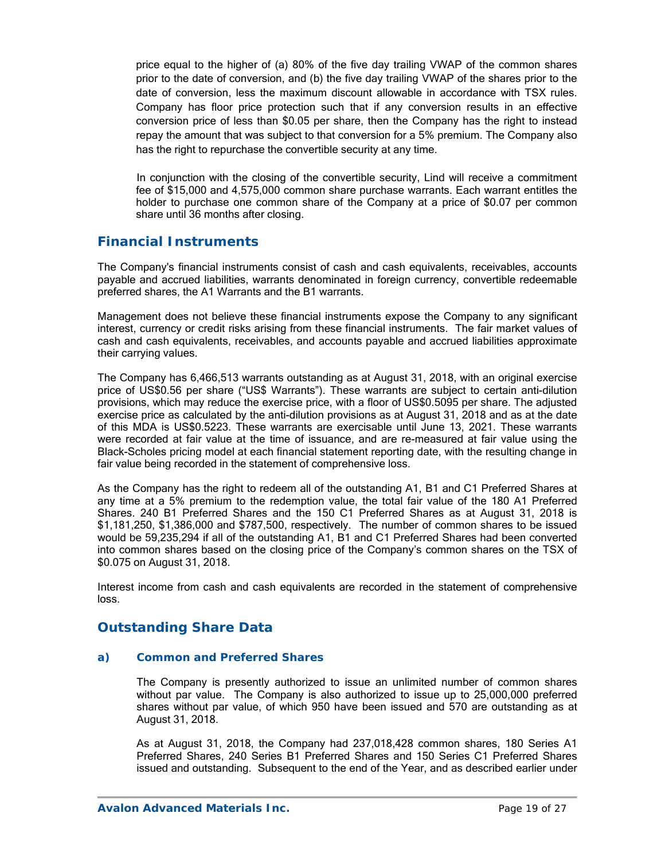price equal to the higher of (a) 80% of the five day trailing VWAP of the common shares prior to the date of conversion, and (b) the five day trailing VWAP of the shares prior to the date of conversion, less the maximum discount allowable in accordance with TSX rules. Company has floor price protection such that if any conversion results in an effective conversion price of less than \$0.05 per share, then the Company has the right to instead repay the amount that was subject to that conversion for a 5% premium. The Company also has the right to repurchase the convertible security at any time.

 In conjunction with the closing of the convertible security, Lind will receive a commitment fee of \$15,000 and 4,575,000 common share purchase warrants. Each warrant entitles the holder to purchase one common share of the Company at a price of \$0.07 per common share until 36 months after closing.

## **Financial Instruments**

The Company's financial instruments consist of cash and cash equivalents, receivables, accounts payable and accrued liabilities, warrants denominated in foreign currency, convertible redeemable preferred shares, the A1 Warrants and the B1 warrants.

Management does not believe these financial instruments expose the Company to any significant interest, currency or credit risks arising from these financial instruments. The fair market values of cash and cash equivalents, receivables, and accounts payable and accrued liabilities approximate their carrying values.

The Company has 6,466,513 warrants outstanding as at August 31, 2018, with an original exercise price of US\$0.56 per share ("US\$ Warrants"). These warrants are subject to certain anti-dilution provisions, which may reduce the exercise price, with a floor of US\$0.5095 per share. The adjusted exercise price as calculated by the anti-dilution provisions as at August 31, 2018 and as at the date of this MDA is US\$0.5223. These warrants are exercisable until June 13, 2021. These warrants were recorded at fair value at the time of issuance, and are re-measured at fair value using the Black-Scholes pricing model at each financial statement reporting date, with the resulting change in fair value being recorded in the statement of comprehensive loss.

As the Company has the right to redeem all of the outstanding A1, B1 and C1 Preferred Shares at any time at a 5% premium to the redemption value, the total fair value of the 180 A1 Preferred Shares. 240 B1 Preferred Shares and the 150 C1 Preferred Shares as at August 31, 2018 is \$1,181,250, \$1,386,000 and \$787,500, respectively. The number of common shares to be issued would be 59,235,294 if all of the outstanding A1, B1 and C1 Preferred Shares had been converted into common shares based on the closing price of the Company's common shares on the TSX of \$0.075 on August 31, 2018.

Interest income from cash and cash equivalents are recorded in the statement of comprehensive loss.

# **Outstanding Share Data**

### *a) Common and Preferred Shares*

The Company is presently authorized to issue an unlimited number of common shares without par value. The Company is also authorized to issue up to 25,000,000 preferred shares without par value, of which 950 have been issued and 570 are outstanding as at August 31, 2018.

As at August 31, 2018, the Company had 237,018,428 common shares, 180 Series A1 Preferred Shares, 240 Series B1 Preferred Shares and 150 Series C1 Preferred Shares issued and outstanding. Subsequent to the end of the Year, and as described earlier under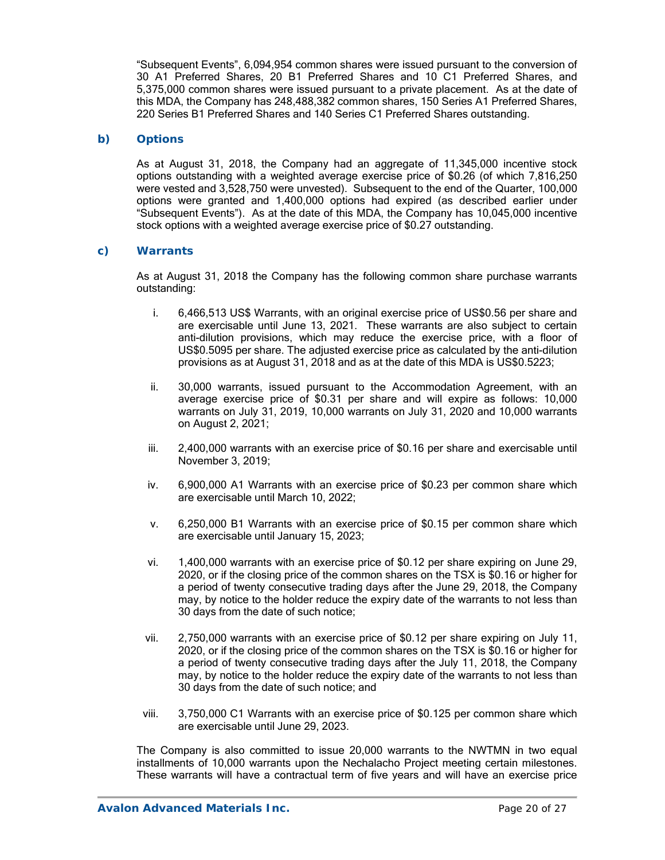"Subsequent Events", 6,094,954 common shares were issued pursuant to the conversion of 30 A1 Preferred Shares, 20 B1 Preferred Shares and 10 C1 Preferred Shares, and 5,375,000 common shares were issued pursuant to a private placement. As at the date of this MDA, the Company has 248,488,382 common shares, 150 Series A1 Preferred Shares, 220 Series B1 Preferred Shares and 140 Series C1 Preferred Shares outstanding.

### *b) Options*

As at August 31, 2018, the Company had an aggregate of 11,345,000 incentive stock options outstanding with a weighted average exercise price of \$0.26 (of which 7,816,250 were vested and 3,528,750 were unvested). Subsequent to the end of the Quarter, 100,000 options were granted and 1,400,000 options had expired (as described earlier under "Subsequent Events"). As at the date of this MDA, the Company has 10,045,000 incentive stock options with a weighted average exercise price of \$0.27 outstanding.

### *c) Warrants*

As at August 31, 2018 the Company has the following common share purchase warrants outstanding:

- i. 6,466,513 US\$ Warrants, with an original exercise price of US\$0.56 per share and are exercisable until June 13, 2021. These warrants are also subject to certain anti-dilution provisions, which may reduce the exercise price, with a floor of US\$0.5095 per share. The adjusted exercise price as calculated by the anti-dilution provisions as at August 31, 2018 and as at the date of this MDA is US\$0.5223;
- ii. 30,000 warrants, issued pursuant to the Accommodation Agreement, with an average exercise price of \$0.31 per share and will expire as follows: 10,000 warrants on July 31, 2019, 10,000 warrants on July 31, 2020 and 10,000 warrants on August 2, 2021;
- iii. 2,400,000 warrants with an exercise price of \$0.16 per share and exercisable until November 3, 2019;
- iv. 6,900,000 A1 Warrants with an exercise price of \$0.23 per common share which are exercisable until March 10, 2022;
- v. 6,250,000 B1 Warrants with an exercise price of \$0.15 per common share which are exercisable until January 15, 2023;
- vi. 1,400,000 warrants with an exercise price of \$0.12 per share expiring on June 29, 2020, or if the closing price of the common shares on the TSX is \$0.16 or higher for a period of twenty consecutive trading days after the June 29, 2018, the Company may, by notice to the holder reduce the expiry date of the warrants to not less than 30 days from the date of such notice;
- vii. 2,750,000 warrants with an exercise price of \$0.12 per share expiring on July 11, 2020, or if the closing price of the common shares on the TSX is \$0.16 or higher for a period of twenty consecutive trading days after the July 11, 2018, the Company may, by notice to the holder reduce the expiry date of the warrants to not less than 30 days from the date of such notice; and
- viii. 3,750,000 C1 Warrants with an exercise price of \$0.125 per common share which are exercisable until June 29, 2023.

The Company is also committed to issue 20,000 warrants to the NWTMN in two equal installments of 10,000 warrants upon the Nechalacho Project meeting certain milestones. These warrants will have a contractual term of five years and will have an exercise price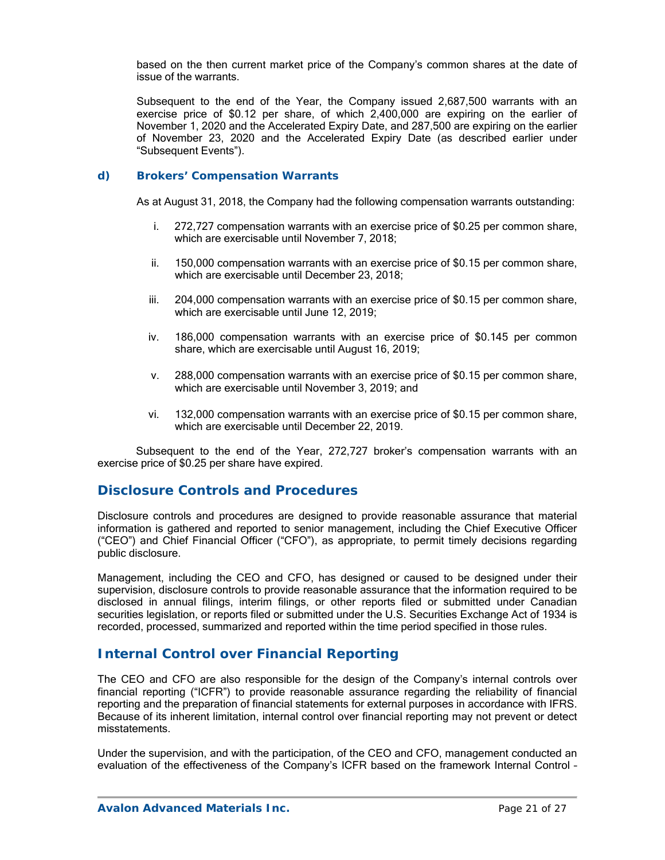based on the then current market price of the Company's common shares at the date of issue of the warrants.

Subsequent to the end of the Year, the Company issued 2,687,500 warrants with an exercise price of \$0.12 per share, of which 2,400,000 are expiring on the earlier of November 1, 2020 and the Accelerated Expiry Date, and 287,500 are expiring on the earlier of November 23, 2020 and the Accelerated Expiry Date (as described earlier under "Subsequent Events").

### *d) Brokers' Compensation Warrants*

As at August 31, 2018, the Company had the following compensation warrants outstanding:

- i. 272,727 compensation warrants with an exercise price of \$0.25 per common share, which are exercisable until November 7, 2018;
- ii. 150,000 compensation warrants with an exercise price of \$0.15 per common share, which are exercisable until December 23, 2018;
- iii. 204,000 compensation warrants with an exercise price of \$0.15 per common share, which are exercisable until June 12, 2019;
- iv. 186,000 compensation warrants with an exercise price of \$0.145 per common share, which are exercisable until August 16, 2019;
- v. 288,000 compensation warrants with an exercise price of \$0.15 per common share, which are exercisable until November 3, 2019; and
- vi. 132,000 compensation warrants with an exercise price of \$0.15 per common share, which are exercisable until December 22, 2019.

Subsequent to the end of the Year, 272,727 broker's compensation warrants with an exercise price of \$0.25 per share have expired.

## **Disclosure Controls and Procedures**

Disclosure controls and procedures are designed to provide reasonable assurance that material information is gathered and reported to senior management, including the Chief Executive Officer ("CEO") and Chief Financial Officer ("CFO"), as appropriate, to permit timely decisions regarding public disclosure.

Management, including the CEO and CFO, has designed or caused to be designed under their supervision, disclosure controls to provide reasonable assurance that the information required to be disclosed in annual filings, interim filings, or other reports filed or submitted under Canadian securities legislation, or reports filed or submitted under the U.S. Securities Exchange Act of 1934 is recorded, processed, summarized and reported within the time period specified in those rules.

## **Internal Control over Financial Reporting**

The CEO and CFO are also responsible for the design of the Company's internal controls over financial reporting ("ICFR") to provide reasonable assurance regarding the reliability of financial reporting and the preparation of financial statements for external purposes in accordance with IFRS. Because of its inherent limitation, internal control over financial reporting may not prevent or detect misstatements.

Under the supervision, and with the participation, of the CEO and CFO, management conducted an evaluation of the effectiveness of the Company's ICFR based on the framework Internal Control –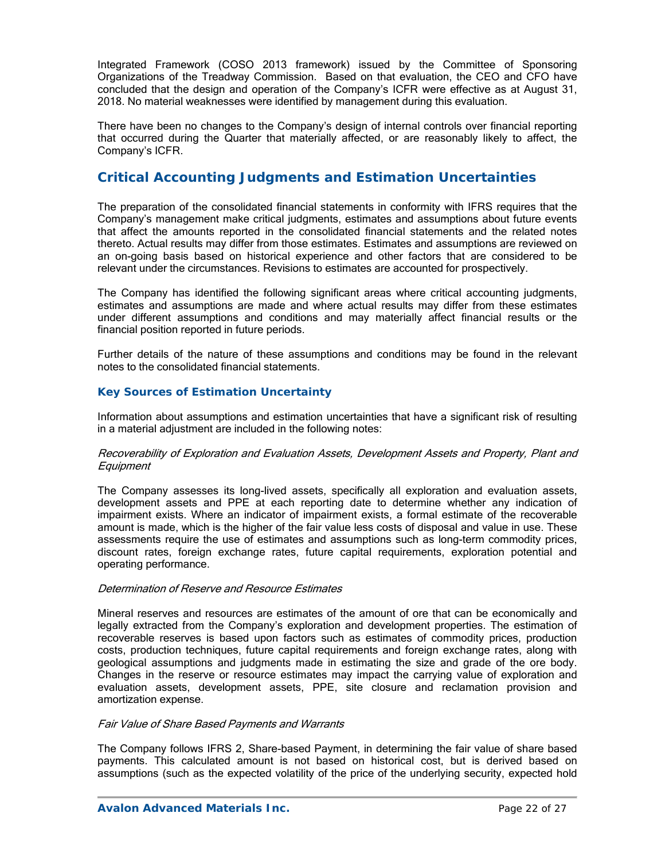Integrated Framework (COSO 2013 framework) issued by the Committee of Sponsoring Organizations of the Treadway Commission. Based on that evaluation, the CEO and CFO have concluded that the design and operation of the Company's ICFR were effective as at August 31, 2018. No material weaknesses were identified by management during this evaluation.

There have been no changes to the Company's design of internal controls over financial reporting that occurred during the Quarter that materially affected, or are reasonably likely to affect, the Company's ICFR.

# **Critical Accounting Judgments and Estimation Uncertainties**

The preparation of the consolidated financial statements in conformity with IFRS requires that the Company's management make critical judgments, estimates and assumptions about future events that affect the amounts reported in the consolidated financial statements and the related notes thereto. Actual results may differ from those estimates. Estimates and assumptions are reviewed on an on-going basis based on historical experience and other factors that are considered to be relevant under the circumstances. Revisions to estimates are accounted for prospectively.

The Company has identified the following significant areas where critical accounting judgments, estimates and assumptions are made and where actual results may differ from these estimates under different assumptions and conditions and may materially affect financial results or the financial position reported in future periods.

Further details of the nature of these assumptions and conditions may be found in the relevant notes to the consolidated financial statements.

### *Key Sources of Estimation Uncertainty*

Information about assumptions and estimation uncertainties that have a significant risk of resulting in a material adjustment are included in the following notes:

### Recoverability of Exploration and Evaluation Assets, Development Assets and Property, Plant and **Equipment**

The Company assesses its long-lived assets, specifically all exploration and evaluation assets, development assets and PPE at each reporting date to determine whether any indication of impairment exists. Where an indicator of impairment exists, a formal estimate of the recoverable amount is made, which is the higher of the fair value less costs of disposal and value in use. These assessments require the use of estimates and assumptions such as long-term commodity prices, discount rates, foreign exchange rates, future capital requirements, exploration potential and operating performance.

### Determination of Reserve and Resource Estimates

Mineral reserves and resources are estimates of the amount of ore that can be economically and legally extracted from the Company's exploration and development properties. The estimation of recoverable reserves is based upon factors such as estimates of commodity prices, production costs, production techniques, future capital requirements and foreign exchange rates, along with geological assumptions and judgments made in estimating the size and grade of the ore body. Changes in the reserve or resource estimates may impact the carrying value of exploration and evaluation assets, development assets, PPE, site closure and reclamation provision and amortization expense.

### Fair Value of Share Based Payments and Warrants

The Company follows IFRS 2, Share-based Payment, in determining the fair value of share based payments. This calculated amount is not based on historical cost, but is derived based on assumptions (such as the expected volatility of the price of the underlying security, expected hold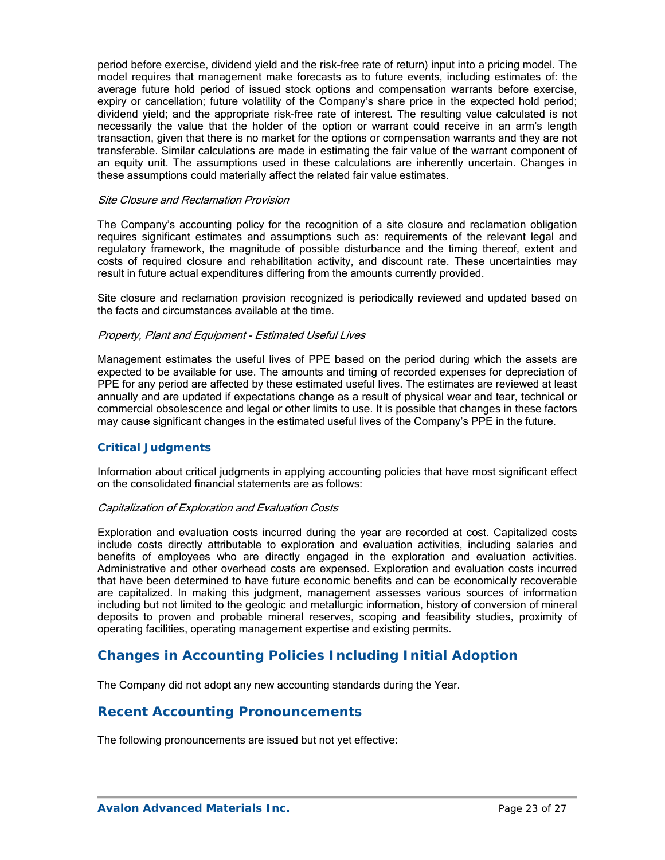period before exercise, dividend yield and the risk-free rate of return) input into a pricing model. The model requires that management make forecasts as to future events, including estimates of: the average future hold period of issued stock options and compensation warrants before exercise, expiry or cancellation; future volatility of the Company's share price in the expected hold period; dividend yield; and the appropriate risk-free rate of interest. The resulting value calculated is not necessarily the value that the holder of the option or warrant could receive in an arm's length transaction, given that there is no market for the options or compensation warrants and they are not transferable. Similar calculations are made in estimating the fair value of the warrant component of an equity unit. The assumptions used in these calculations are inherently uncertain. Changes in these assumptions could materially affect the related fair value estimates.

### Site Closure and Reclamation Provision

The Company's accounting policy for the recognition of a site closure and reclamation obligation requires significant estimates and assumptions such as: requirements of the relevant legal and regulatory framework, the magnitude of possible disturbance and the timing thereof, extent and costs of required closure and rehabilitation activity, and discount rate. These uncertainties may result in future actual expenditures differing from the amounts currently provided.

Site closure and reclamation provision recognized is periodically reviewed and updated based on the facts and circumstances available at the time.

### Property, Plant and Equipment - Estimated Useful Lives

Management estimates the useful lives of PPE based on the period during which the assets are expected to be available for use. The amounts and timing of recorded expenses for depreciation of PPE for any period are affected by these estimated useful lives. The estimates are reviewed at least annually and are updated if expectations change as a result of physical wear and tear, technical or commercial obsolescence and legal or other limits to use. It is possible that changes in these factors may cause significant changes in the estimated useful lives of the Company's PPE in the future.

### *Critical Judgments*

Information about critical judgments in applying accounting policies that have most significant effect on the consolidated financial statements are as follows:

### Capitalization of Exploration and Evaluation Costs

Exploration and evaluation costs incurred during the year are recorded at cost. Capitalized costs include costs directly attributable to exploration and evaluation activities, including salaries and benefits of employees who are directly engaged in the exploration and evaluation activities. Administrative and other overhead costs are expensed. Exploration and evaluation costs incurred that have been determined to have future economic benefits and can be economically recoverable are capitalized. In making this judgment, management assesses various sources of information including but not limited to the geologic and metallurgic information, history of conversion of mineral deposits to proven and probable mineral reserves, scoping and feasibility studies, proximity of operating facilities, operating management expertise and existing permits.

# **Changes in Accounting Policies Including Initial Adoption**

The Company did not adopt any new accounting standards during the Year.

## **Recent Accounting Pronouncements**

The following pronouncements are issued but not yet effective: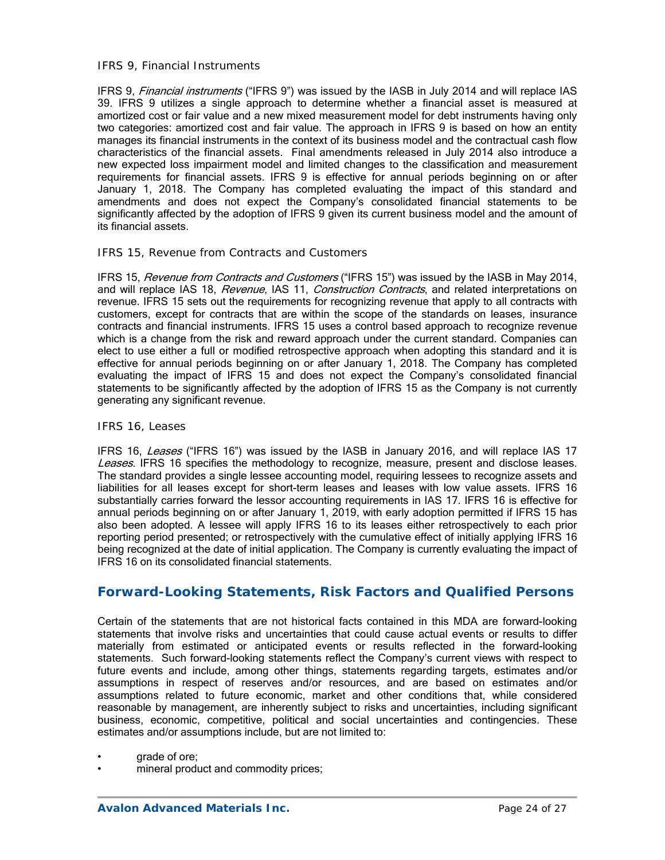### *IFRS 9, Financial Instruments*

IFRS 9, *Financial instruments* ("IFRS 9") was issued by the IASB in July 2014 and will replace IAS 39. IFRS 9 utilizes a single approach to determine whether a financial asset is measured at amortized cost or fair value and a new mixed measurement model for debt instruments having only two categories: amortized cost and fair value. The approach in IFRS 9 is based on how an entity manages its financial instruments in the context of its business model and the contractual cash flow characteristics of the financial assets. Final amendments released in July 2014 also introduce a new expected loss impairment model and limited changes to the classification and measurement requirements for financial assets. IFRS 9 is effective for annual periods beginning on or after January 1, 2018. The Company has completed evaluating the impact of this standard and amendments and does not expect the Company's consolidated financial statements to be significantly affected by the adoption of IFRS 9 given its current business model and the amount of its financial assets.

### *IFRS 15, Revenue from Contracts and Customers*

IFRS 15, Revenue from Contracts and Customers ("IFRS 15") was issued by the IASB in May 2014, and will replace IAS 18, *Revenue*, IAS 11, *Construction Contracts*, and related interpretations on revenue. IFRS 15 sets out the requirements for recognizing revenue that apply to all contracts with customers, except for contracts that are within the scope of the standards on leases, insurance contracts and financial instruments. IFRS 15 uses a control based approach to recognize revenue which is a change from the risk and reward approach under the current standard. Companies can elect to use either a full or modified retrospective approach when adopting this standard and it is effective for annual periods beginning on or after January 1, 2018. The Company has completed evaluating the impact of IFRS 15 and does not expect the Company's consolidated financial statements to be significantly affected by the adoption of IFRS 15 as the Company is not currently generating any significant revenue.

### *IFRS 16, Leases*

IFRS 16, Leases ("IFRS 16") was issued by the IASB in January 2016, and will replace IAS 17 Leases. IFRS 16 specifies the methodology to recognize, measure, present and disclose leases. The standard provides a single lessee accounting model, requiring lessees to recognize assets and liabilities for all leases except for short-term leases and leases with low value assets. IFRS 16 substantially carries forward the lessor accounting requirements in IAS 17. IFRS 16 is effective for annual periods beginning on or after January 1, 2019, with early adoption permitted if IFRS 15 has also been adopted. A lessee will apply IFRS 16 to its leases either retrospectively to each prior reporting period presented; or retrospectively with the cumulative effect of initially applying IFRS 16 being recognized at the date of initial application. The Company is currently evaluating the impact of IFRS 16 on its consolidated financial statements.

## **Forward-Looking Statements, Risk Factors and Qualified Persons**

Certain of the statements that are not historical facts contained in this MDA are forward-looking statements that involve risks and uncertainties that could cause actual events or results to differ materially from estimated or anticipated events or results reflected in the forward-looking statements. Such forward-looking statements reflect the Company's current views with respect to future events and include, among other things, statements regarding targets, estimates and/or assumptions in respect of reserves and/or resources, and are based on estimates and/or assumptions related to future economic, market and other conditions that, while considered reasonable by management, are inherently subject to risks and uncertainties, including significant business, economic, competitive, political and social uncertainties and contingencies. These estimates and/or assumptions include, but are not limited to:

- arade of ore;
- mineral product and commodity prices;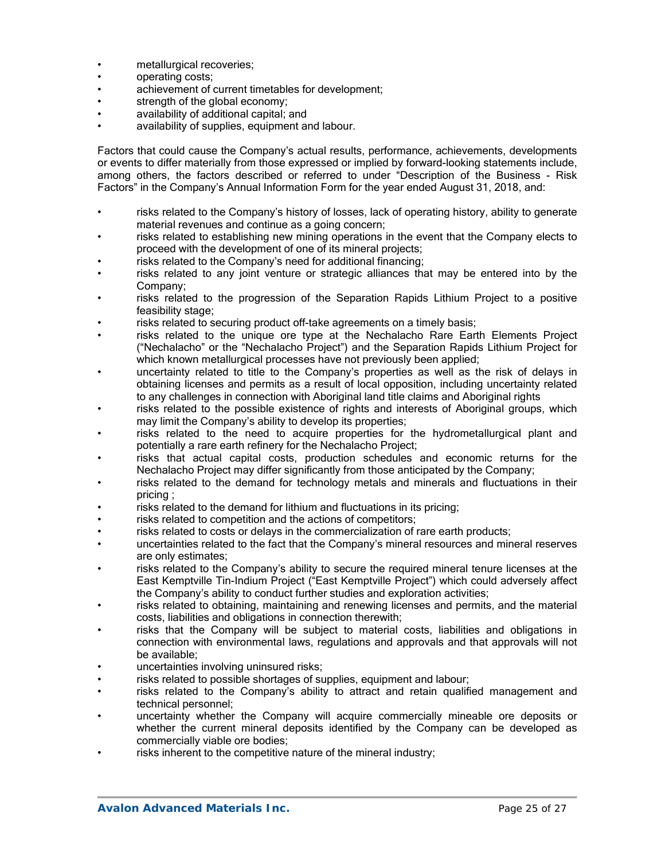- metallurgical recoveries;
- operating costs;
- achievement of current timetables for development;
- strength of the global economy;
- availability of additional capital; and
- availability of supplies, equipment and labour.

Factors that could cause the Company's actual results, performance, achievements, developments or events to differ materially from those expressed or implied by forward-looking statements include, among others, the factors described or referred to under "Description of the Business - Risk Factors" in the Company's Annual Information Form for the year ended August 31, 2018, and:

- risks related to the Company's history of losses, lack of operating history, ability to generate material revenues and continue as a going concern;
- risks related to establishing new mining operations in the event that the Company elects to proceed with the development of one of its mineral projects;
- risks related to the Company's need for additional financing;
- risks related to any joint venture or strategic alliances that may be entered into by the Company;
- risks related to the progression of the Separation Rapids Lithium Project to a positive feasibility stage;
- risks related to securing product off-take agreements on a timely basis;
- risks related to the unique ore type at the Nechalacho Rare Earth Elements Project ("Nechalacho" or the "Nechalacho Project") and the Separation Rapids Lithium Project for which known metallurgical processes have not previously been applied;
- uncertainty related to title to the Company's properties as well as the risk of delays in obtaining licenses and permits as a result of local opposition, including uncertainty related to any challenges in connection with Aboriginal land title claims and Aboriginal rights
- risks related to the possible existence of rights and interests of Aboriginal groups, which may limit the Company's ability to develop its properties;
- risks related to the need to acquire properties for the hydrometallurgical plant and potentially a rare earth refinery for the Nechalacho Project;
- risks that actual capital costs, production schedules and economic returns for the Nechalacho Project may differ significantly from those anticipated by the Company;
- risks related to the demand for technology metals and minerals and fluctuations in their pricing ;
- risks related to the demand for lithium and fluctuations in its pricing;
- risks related to competition and the actions of competitors;
- risks related to costs or delays in the commercialization of rare earth products;
- uncertainties related to the fact that the Company's mineral resources and mineral reserves are only estimates;
- risks related to the Company's ability to secure the required mineral tenure licenses at the East Kemptville Tin-Indium Project ("East Kemptville Project") which could adversely affect the Company's ability to conduct further studies and exploration activities;
- risks related to obtaining, maintaining and renewing licenses and permits, and the material costs, liabilities and obligations in connection therewith;
- risks that the Company will be subject to material costs, liabilities and obligations in connection with environmental laws, regulations and approvals and that approvals will not be available;
- uncertainties involving uninsured risks;
- risks related to possible shortages of supplies, equipment and labour;
- risks related to the Company's ability to attract and retain qualified management and technical personnel;
- uncertainty whether the Company will acquire commercially mineable ore deposits or whether the current mineral deposits identified by the Company can be developed as commercially viable ore bodies;
- risks inherent to the competitive nature of the mineral industry;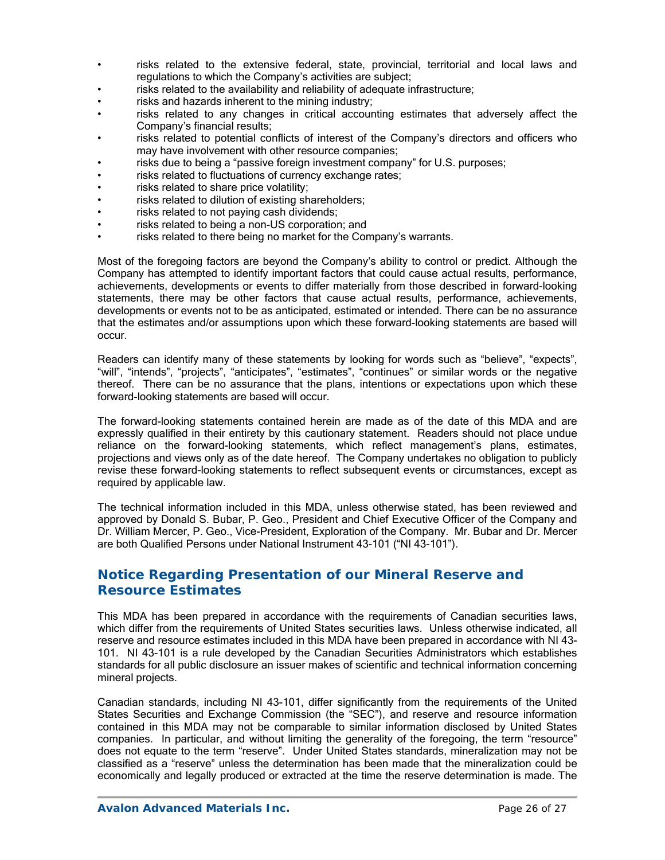- risks related to the extensive federal, state, provincial, territorial and local laws and regulations to which the Company's activities are subject;
- risks related to the availability and reliability of adequate infrastructure;
- risks and hazards inherent to the mining industry;
- risks related to any changes in critical accounting estimates that adversely affect the Company's financial results;
- risks related to potential conflicts of interest of the Company's directors and officers who may have involvement with other resource companies;
- risks due to being a "passive foreign investment company" for U.S. purposes;
- risks related to fluctuations of currency exchange rates;
- risks related to share price volatility;
- risks related to dilution of existing shareholders;
- risks related to not paying cash dividends:
- risks related to being a non-US corporation; and
- risks related to there being no market for the Company's warrants.

Most of the foregoing factors are beyond the Company's ability to control or predict. Although the Company has attempted to identify important factors that could cause actual results, performance, achievements, developments or events to differ materially from those described in forward-looking statements, there may be other factors that cause actual results, performance, achievements, developments or events not to be as anticipated, estimated or intended. There can be no assurance that the estimates and/or assumptions upon which these forward-looking statements are based will occur.

Readers can identify many of these statements by looking for words such as "believe", "expects", "will", "intends", "projects", "anticipates", "estimates", "continues" or similar words or the negative thereof. There can be no assurance that the plans, intentions or expectations upon which these forward-looking statements are based will occur.

The forward-looking statements contained herein are made as of the date of this MDA and are expressly qualified in their entirety by this cautionary statement. Readers should not place undue reliance on the forward-looking statements, which reflect management's plans, estimates, projections and views only as of the date hereof. The Company undertakes no obligation to publicly revise these forward-looking statements to reflect subsequent events or circumstances, except as required by applicable law.

The technical information included in this MDA, unless otherwise stated, has been reviewed and approved by Donald S. Bubar, P. Geo., President and Chief Executive Officer of the Company and Dr. William Mercer, P. Geo., Vice-President, Exploration of the Company. Mr. Bubar and Dr. Mercer are both Qualified Persons under National Instrument 43-101 ("NI 43-101").

## **Notice Regarding Presentation of our Mineral Reserve and Resource Estimates**

This MDA has been prepared in accordance with the requirements of Canadian securities laws, which differ from the requirements of United States securities laws. Unless otherwise indicated, all reserve and resource estimates included in this MDA have been prepared in accordance with NI 43- 101. NI 43-101 is a rule developed by the Canadian Securities Administrators which establishes standards for all public disclosure an issuer makes of scientific and technical information concerning mineral projects.

Canadian standards, including NI 43-101, differ significantly from the requirements of the United States Securities and Exchange Commission (the "SEC"), and reserve and resource information contained in this MDA may not be comparable to similar information disclosed by United States companies. In particular, and without limiting the generality of the foregoing, the term "resource" does not equate to the term "reserve". Under United States standards, mineralization may not be classified as a "reserve" unless the determination has been made that the mineralization could be economically and legally produced or extracted at the time the reserve determination is made. The